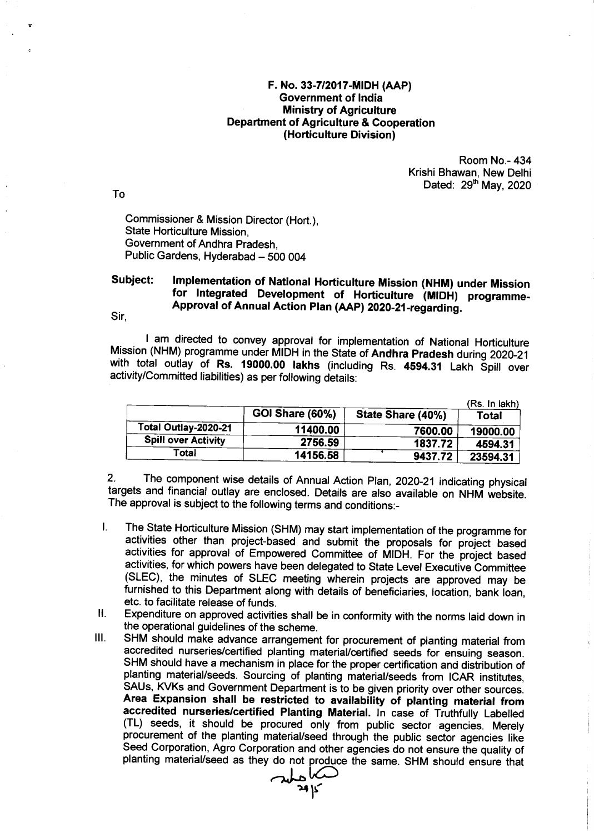## F. No. 33-7|2017-MIDH (AAP) Government of lndia Ministry of Agriculture Department of Agriculture & Cooperation (Horticulture Division )

Room No.- 434 Krishi Bhawan, New Delhi Dated: 29<sup>th</sup> May, 2020

To

**d** 

Commissioner & Mission Director (Hort.), State Horticulture Mission, Government of Andhra Pradesh, Public Gardens, Hyderabad - 500 004

## Subject: Implementation of National Horticulture Mission (NHM) under Mission<br>for Integrated Development of Horticulture (MIDH) programme-Approval of Annual Action Plan (AAP) 2020-21-regarding.

Sir,

I am directed to convey approval for implementation of National Horticulture<br>Mission (NHM) programme under MIDH in the State of Andhra Pradesh during 2020-21 with total outlay of Rs. 19000.00 lakhs (including Rs. 4594.31 Lakh Spill over activity/Committed liabilities) as per following details:

|                            |                        |                   | (Rs. In lakh) |
|----------------------------|------------------------|-------------------|---------------|
|                            | <b>GOI Share (60%)</b> | State Share (40%) | Total         |
| Total Outlay-2020-21       | 11400.00               | 7600.00           | 19000.00      |
| <b>Spill over Activity</b> | 2756.59                | 1837.72           | 4594.31       |
| Total                      | 14156.58               | 9437.72           | 23594.31      |

2. The component wise details of Annual Action Plan, 2020-21 indicating physical targets and financial outlay are enclosed. Details are also available on NHM website. The approval is subject to the following terms and conditions:-

- The State Horticulture Mission (SHM) may start implementation of the programme for  $\mathbf{L}$ activities other than project-based and submit the proposals for project based activities for approval of Empowered Committee of MIDH. For the project based activities, for which powers have been delegated to State Level Executive Committee (SLEC), the minutes of SLEC meeting wherein projects are approved may be furnished to this Department along with details of beneficiaries, location, bank ioan, etc. to facilitate release of funds.
- $\mathbf{H}$ Expenditure on approved activities shall be in conformity with the norms laid down in the operational guidelines of the scheme.
- $III.$ SHM should make advance arrangement for procurement of planting material from accredited nurseries/certified planting material/certified seeds for ensuing season. SHM should have a mechanism in place for the proper certification and distribution of planting material/seeds. Sourcing of planting material/seeds from ICAR institutes, Area Expansion shall be restricted to availability of planting material from<br>accredited nurseries/certified Planting Material. In case of Truthfully Labelled (TL) seeds, it should be procured only from public sector agencies. Merely procurement of the planting material/seed through the public sector agencies like Seed Corporation, Agro Corporation and other agencies do not ensure the quality of<br>planting material/seed as they do not produce the same. SHM should ensure that Seed Corporation, Agro Corporation and other agencies do not ensure the quality of

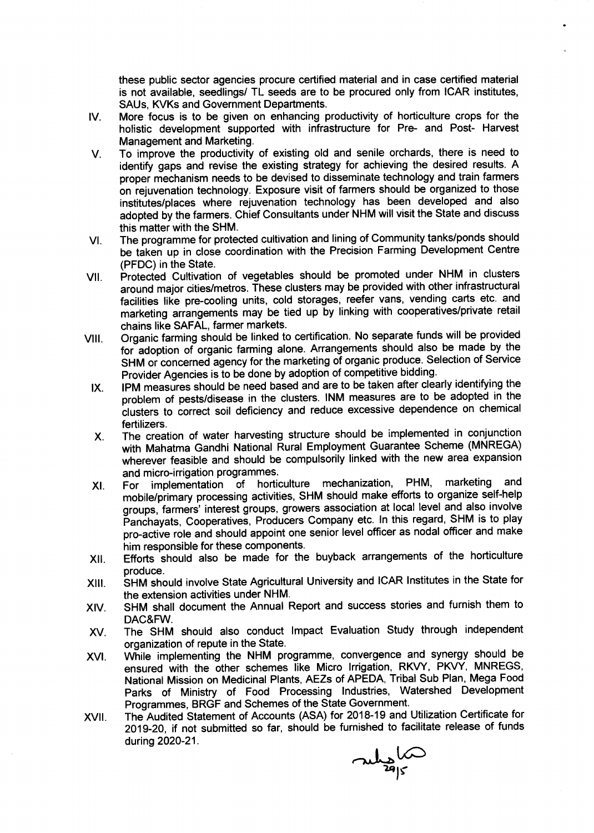these public sector agencies procure certified material and in case certified material is not available, seedlings/ TL seeds are to be procured only from ICAR institutes, SAUs, KVKs and Government Departments.

- IV More focus is to be given on enhancing productivity of horticulture crops for the holistic development supported with infrastructure for Pre- and Post- Harvest Management and Marketing.
- V To improve the productivity of existing old and senile orchards, there is need to identify gaps and revise the existing strategy for achieving the desired results. A proper mechanism needs to be devised to disseminate technology and train farmers on rejuvenation technology. Exposure visit of farmers should be organized to those institutes/places where rejuvenation technology has been developed and also adopted by the farmers. Chief Consultants under NHM will visit the State and discuss this matter with the SHM.
- The programme for protected cultivation and lining of Community tanks/ponds should be taken up in close coordination with the Precision Farming Development Centre (PFDC) in the State. VI
- Protected Cultivation of vegetables should be promoted under NHM in clusters around major cities/metros. These clusters may be provided with other infrastructural facilities like pre-cooling units, cold storages, reefer vans, vending carts etc. and marketing arrangements may be tied up by linking with cooperatives/private retail chains like SAFAL, farmer markets. vil
- Organic farming should be linked to certification. No separate funds will be provided for adoption of organic farming alone. Arrangements should also be made by the SHM or concerned agency for the marketing of organic produce. Selection of Service Provider Agencies is to be done by adoption of competitive bidding. vlll
	- IPM measures should be need based and are to be taken after clearly identifying the problem of pests/disease in the clusters. INM measures are to be adopted in the clusters to correct soil deficiency and reduce excessive dependence on chemical fertilizers.  $IX.$
	- The creation of water harvesting structure should be implemented in conjunction with Mahatma Gandhi National Rural Employment Guarantee Scheme (MNREGA) wherever feasible and should be compulsorily linked with the new area expansion X
	- and micro-irrigation programmes.<br>For implementation of hortic implementation of horticulture mechanization, PHM, marketing and mobile/piimary processing activities, SHM should make efforts to organize self-help groups, farmers' interest groups, growers association at local level and also involve Panchayats, Cooperatives, Producers Company etc. In this regard, SHM is to play pro-active role and should appoint one senior level officer as nodal officer and make him responsible for these components. xl
- Efforts should also be made for the buyback arrangements of the horticulture produce. xil.
- SHM should involve State Agricultural University and ICAR Institutes in the State for the extension activities under NHM. xilt.
- SHM shall document the Annual Report and success stories and furnish them to DAC&FW. XIV.
- The SHM should also conduct lmpact Evaluation Study through independent organization of repute in the State. XV
- While implementing the NHM programme, convergence and synergy should be ensured with the other schemes like Micro lrrigation, RK/Y, PKVY, MNREGS, National Mission on Medicinal Plants, AEZs of APEDA, Tribal Sub Plan, Mega Food parks of Ministry of Food Processing lndustries, Watershed Development Programmes, BRGF and Schemes of the State Government. xvt
- The Audited Statement of Accounts (ASA) for 2018-19 and Utilization Certificate for ZOlg-20, if not submitted so far, should be furnished to facilitate release of funds during 2O2O-21. XVII

mys 15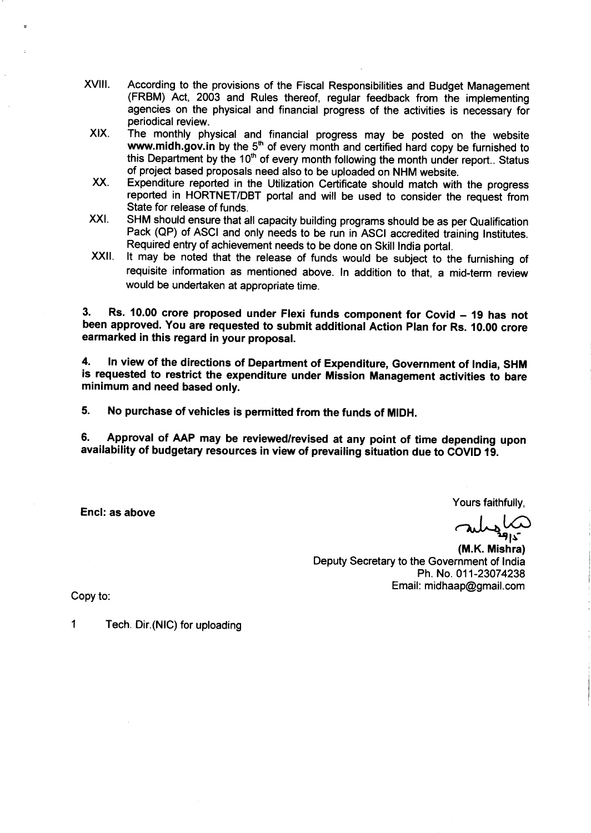- xvil. According to the provisions of the Fiscal Responsibilities and Budget Management (FRBM) Act, 2003 and Rules thereof, regular feedback from the implementing agencies on the physical and financial progress of the activities is necessary for periodical review.
- xlx. The monthly physical and financial progress may be posted on the website www.midh.gov.in by the  $5<sup>th</sup>$  of every month and certified hard copy be furnished to this Department by the 10<sup>th</sup> of every month following the month under report.. Status of project based proposals need also to be uploaded on NHM website.
- xx. Expenditure reported in the Utilization Certificate should match with the progress reported in HORTNET/DBT portal and will be used to consider the request from State for release of funds.
- xxt. SHM should ensure that all capacity building programs should be as per Qualification Pack (QP) of ASCI and only needs to be run in ASCI accredited training Institutes. Required entry of achievement needs to be done on skill lndia portal.
- XXII. It may be noted that the release of funds would be subject to the furnishing of requisite information as mentioned above. ln addition to that, a mid-term review would be undertaken at appropriate time.

3. Rs. 10.00 crore proposed under Flexi funds component for Covid - 19 has not been approved. You are requested to submit additional Action Plan for Rs. 10.00 crore earmarked in this regard in your proposal.

4. ln view of the directions of Department of Expenditure, Government of lndia, SHM is requested to restrict the expenditure under Mission Management activities to bare minimum and need based only.

5. No purchase of vehicles is permitted from the funds of MIDH.

6. Approval of AAP may be reviewed/revised at any point of time depending upon availability of budgetary resources in view of prevailing situation due to COUD 10.

Enc!: as above

Yours faithfully, ls-

(M.K. Mishra) Deputy Secretary to the Government of lndia Ph. No. 011-23074238 Email: midhaap@gmail.com

Copy to

1 Tech. Dir.(NlC) for uploading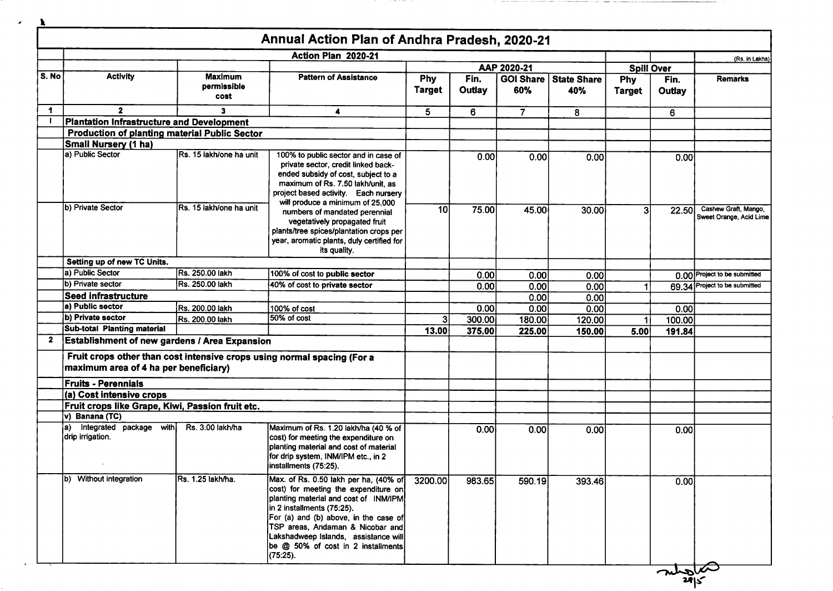| $\mathbf{r}$ |                                                      |                                       |                                                                                                                                                                                                                                                                                                                             |                      |                |                         |                           |                      |                |                                                 |
|--------------|------------------------------------------------------|---------------------------------------|-----------------------------------------------------------------------------------------------------------------------------------------------------------------------------------------------------------------------------------------------------------------------------------------------------------------------------|----------------------|----------------|-------------------------|---------------------------|----------------------|----------------|-------------------------------------------------|
|              |                                                      |                                       | Annual Action Plan of Andhra Pradesh, 2020-21<br>Action Plan 2020-21                                                                                                                                                                                                                                                        |                      |                |                         |                           |                      |                |                                                 |
|              |                                                      |                                       |                                                                                                                                                                                                                                                                                                                             |                      |                | AAP 2020-21             |                           | <b>Spill Over</b>    |                | (Rs. in Lakhs)                                  |
| S. No        | <b>Activity</b>                                      | <b>Maximum</b><br>permissible<br>cost | <b>Pattern of Assistance</b>                                                                                                                                                                                                                                                                                                | Phy<br><b>Target</b> | Fin.<br>Outlay | <b>GOI Share</b><br>60% | <b>State Share</b><br>40% | Phy<br><b>Target</b> | Fin.<br>Outlay | <b>Remarks</b>                                  |
| $\mathbf 1$  | $\mathbf{2}$                                         | $\mathbf{3}$                          | 4                                                                                                                                                                                                                                                                                                                           | 5.                   | 6              | $\overline{7}$          | 8                         |                      | 6              |                                                 |
|              | <b>Plantation Infrastructure and Development</b>     |                                       |                                                                                                                                                                                                                                                                                                                             |                      |                |                         |                           |                      |                |                                                 |
|              | <b>Production of planting material Public Sector</b> |                                       |                                                                                                                                                                                                                                                                                                                             |                      |                |                         |                           |                      |                |                                                 |
|              | Small Nursery (1 ha)                                 |                                       |                                                                                                                                                                                                                                                                                                                             |                      |                |                         |                           |                      |                |                                                 |
|              | a) Public Sector                                     | Rs. 15 lakh/one ha unit               | 100% to public sector and in case of<br>private sector, credit linked back-<br>ended subsidy of cost, subject to a<br>maximum of Rs. 7.50 lakh/unit, as<br>project based activity. Each nursery                                                                                                                             |                      | 0.00           | 0.00                    | 0.00                      |                      | 0.001          |                                                 |
|              | b) Private Sector                                    | Rs. 15 lakh/one ha unit               | will produce a minimum of 25,000<br>numbers of mandated perennial<br>vegetatively propagated fruit<br>plants/tree spices/plantation crops per<br>year, aromatic plants, duly certified for<br>its quality.                                                                                                                  | 10                   | 75.00          | 45.00                   | 30.00                     | 3                    | <b>22.50</b>   | Cashew Graft, Mango,<br>Sweet Orange, Acid Lime |
|              | Setting up of new TC Units.                          |                                       |                                                                                                                                                                                                                                                                                                                             |                      |                |                         |                           |                      |                |                                                 |
|              | a) Public Sector                                     | Rs. 250.00 lakh                       | 100% of cost to public sector                                                                                                                                                                                                                                                                                               |                      | 0.00           | 0.00                    | 0.00                      |                      |                | 0.00 Project to be submitted                    |
|              | b) Private sector                                    | Rs. 250.00 lakh                       | 40% of cost to private sector                                                                                                                                                                                                                                                                                               |                      | 0.00           | 0.00                    | 0.00                      |                      |                | 69.34 Project to be submitted                   |
|              | <b>Seed infrastructure</b>                           |                                       |                                                                                                                                                                                                                                                                                                                             |                      |                | 0.00                    | 0.00                      |                      |                |                                                 |
|              | a) Public sector                                     | Rs. 200.00 lakh                       | 100% of cost                                                                                                                                                                                                                                                                                                                |                      | 0.00           | 0.00                    | 0.00                      |                      | 0.00           |                                                 |
|              | b) Private sector                                    | Rs. 200.00 lakh                       | 50% of cost                                                                                                                                                                                                                                                                                                                 | 3                    | 300.00         | 180.00                  | 120.00                    |                      | 100.00         |                                                 |
|              | Sub-total Planting material                          |                                       |                                                                                                                                                                                                                                                                                                                             | 13.00                | 375.00         | 225.00                  | 150.00                    | 5.00                 | 191.84         |                                                 |
| $\mathbf{z}$ | <b>Establishment of new gardens / Area Expansion</b> |                                       |                                                                                                                                                                                                                                                                                                                             |                      |                |                         |                           |                      |                |                                                 |
|              | maximum area of 4 ha per beneficiary)                |                                       | Fruit crops other than cost intensive crops using normal spacing (For a                                                                                                                                                                                                                                                     |                      |                |                         |                           |                      |                |                                                 |
|              | <b>Fruits - Perennials</b>                           |                                       |                                                                                                                                                                                                                                                                                                                             |                      |                |                         |                           |                      |                |                                                 |
|              | (a) Cost intensive crops                             |                                       |                                                                                                                                                                                                                                                                                                                             |                      |                |                         |                           |                      |                |                                                 |
|              | Fruit crops like Grape, Kiwi, Passion fruit etc.     |                                       |                                                                                                                                                                                                                                                                                                                             |                      |                |                         |                           |                      |                |                                                 |
|              | v) Banana (TC)                                       |                                       |                                                                                                                                                                                                                                                                                                                             |                      |                |                         |                           |                      |                |                                                 |
|              | Integrated package with<br>la).<br>drip irrigation.  | Rs. 3.00 lakh/ha                      | Maximum of Rs. 1.20 lakh/ha (40 % of<br>cost) for meeting the expenditure on<br>planting material and cost of material<br>for drip system, INM/IPM etc., in 2<br> Installments (75:25).                                                                                                                                     |                      | 0.00           | 0.00                    | 0.00                      |                      | 0.00           |                                                 |
|              | b) Without integration                               | Rs. 1.25 lakh/ha.                     | Max. of Rs. 0.50 lakh per ha, (40% of<br>cost) for meeting the expenditure on<br>planting material and cost of INM/IPM<br>in 2 installments (75:25).<br>For (a) and (b) above, in the case of<br>TSP areas, Andaman & Nicobar and<br>Lakshadweep Islands, assistance will<br>be @ 50% of cost in 2 installments<br>(75:25). | 3200.00              | 983.65         | 590.19                  | 393.46                    |                      | 0.00           |                                                 |

muster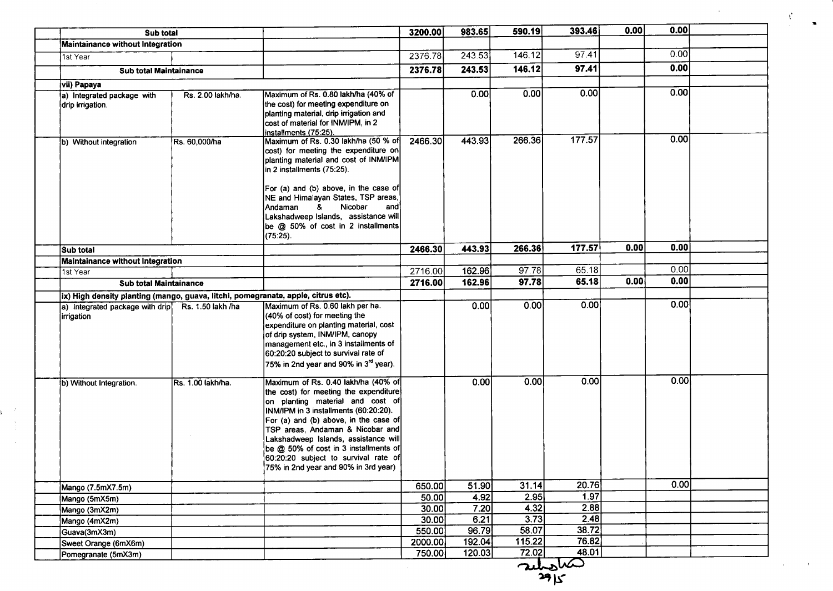| Sub total                                                                         |                   |                                                                                                                                                                                                                                                                                                                                                                                                         | 3200.00 | 983.65 | 590.19 | 393.46 | 0.00 | 0.00 |  |
|-----------------------------------------------------------------------------------|-------------------|---------------------------------------------------------------------------------------------------------------------------------------------------------------------------------------------------------------------------------------------------------------------------------------------------------------------------------------------------------------------------------------------------------|---------|--------|--------|--------|------|------|--|
| Maintainance without Integration                                                  |                   |                                                                                                                                                                                                                                                                                                                                                                                                         |         |        |        |        |      |      |  |
| 1st Year                                                                          |                   |                                                                                                                                                                                                                                                                                                                                                                                                         | 2376.78 | 243.53 | 146.12 | 97.41  |      | 0.00 |  |
| Sub total Maintainance                                                            |                   |                                                                                                                                                                                                                                                                                                                                                                                                         | 2376.78 | 243.53 | 146.12 | 97.41  |      | 0.00 |  |
| vii) Papaya                                                                       |                   |                                                                                                                                                                                                                                                                                                                                                                                                         |         |        |        |        |      |      |  |
| a) Integrated package with                                                        | Rs. 2.00 lakh/ha. | Maximum of Rs. 0.80 lakh/ha (40% of                                                                                                                                                                                                                                                                                                                                                                     |         | 0.00   | 0.00   | [0.00] |      | 0.00 |  |
| drip irrigation.                                                                  |                   | the cost) for meeting expenditure on<br>planting material, drip irrigation and<br>cost of material for INM/IPM, in 2<br>installments (75:25).                                                                                                                                                                                                                                                           |         |        |        |        |      |      |  |
| b) Without integration                                                            | Rs. 60,000/ha     | Maximum of Rs. 0.30 lakh/ha (50 % of<br>cost) for meeting the expenditure on<br>planting material and cost of INM/IPM<br>in 2 installments (75:25).<br>For (a) and (b) above, in the case of<br>NE and Himalayan States, TSP areas,                                                                                                                                                                     | 2466.30 | 443.93 | 266.36 | 177.57 |      | 0.00 |  |
|                                                                                   |                   | Nicobar<br>$\mathbf{g}$<br>Andaman<br>and<br>Lakshadweep Islands, assistance will<br>be @ 50% of cost in 2 installments<br>(75:25).                                                                                                                                                                                                                                                                     |         |        |        |        |      |      |  |
| Sub total                                                                         |                   |                                                                                                                                                                                                                                                                                                                                                                                                         | 2466.30 | 443.93 | 266.36 | 177.57 | 0.00 | 0.00 |  |
| Maintainance without Integration                                                  |                   |                                                                                                                                                                                                                                                                                                                                                                                                         |         |        |        |        |      |      |  |
| 1st Year                                                                          |                   |                                                                                                                                                                                                                                                                                                                                                                                                         | 2716.00 | 162.96 | 97.78  | 65.18  |      | 0.00 |  |
| Sub total Maintainance                                                            |                   |                                                                                                                                                                                                                                                                                                                                                                                                         | 2716.00 | 162.96 | 97.78  | 65.18  | 0.00 | 0.00 |  |
| ix) High density planting (mango, guava, litchi, pomegranate, apple, citrus etc). |                   |                                                                                                                                                                                                                                                                                                                                                                                                         |         |        |        |        |      |      |  |
| a) Integrated package with drip Rs. 1.50 lakh /ha<br>irrigation                   |                   | Maximum of Rs. 0.60 lakh per ha.<br>(40% of cost) for meeting the<br>expenditure on planting material, cost<br>of drip system, INM/IPM, canopy<br>management etc., in 3 installments of<br>60:20:20 subject to survival rate of<br>75% in 2nd year and 90% in 3 <sup>rd</sup> year).                                                                                                                    |         | 0.00   | 0.00   | 0.00   |      | 0.00 |  |
| b) Without Integration.                                                           | Rs. 1.00 lakh/ha. | Maximum of Rs. 0.40 lakh/ha (40% of<br>the cost) for meeting the expenditure<br>on planting material and cost of<br>INM/IPM in 3 installments (60:20:20).<br>For (a) and (b) above, in the case of<br>TSP areas, Andaman & Nicobar and<br>Lakshadweep Islands, assistance will<br>be @ 50% of cost in 3 installments of<br>60:20:20 subject to survival rate of<br>75% in 2nd year and 90% in 3rd year) |         | 0.00   | 0.00   | 0.00   |      | 0.00 |  |
| Mango (7.5mX7.5m)                                                                 |                   |                                                                                                                                                                                                                                                                                                                                                                                                         | 650.00  | 51.90  | 31.14  | 20.76  |      | 0.00 |  |
| Mango (5mX5m)                                                                     |                   |                                                                                                                                                                                                                                                                                                                                                                                                         | 50.00   | 4.92   | 2.95   | 1.97   |      |      |  |
| Mango (3mX2m)                                                                     |                   |                                                                                                                                                                                                                                                                                                                                                                                                         | 30.00   | 7.20   | 4.32   | 2.88   |      |      |  |
| Mango (4mX2m)                                                                     |                   |                                                                                                                                                                                                                                                                                                                                                                                                         | 30.00   | 6.21   | 3.73   | 2.48   |      |      |  |
| Guava(3mX3m)                                                                      |                   |                                                                                                                                                                                                                                                                                                                                                                                                         | 550.00  | 96.79  | 58.07  | 38.72  |      |      |  |
|                                                                                   |                   |                                                                                                                                                                                                                                                                                                                                                                                                         | 2000.00 | 192.04 | 115.22 | 76.82  |      |      |  |
| Sweet Orange (6mX6m)                                                              |                   |                                                                                                                                                                                                                                                                                                                                                                                                         |         |        |        |        |      |      |  |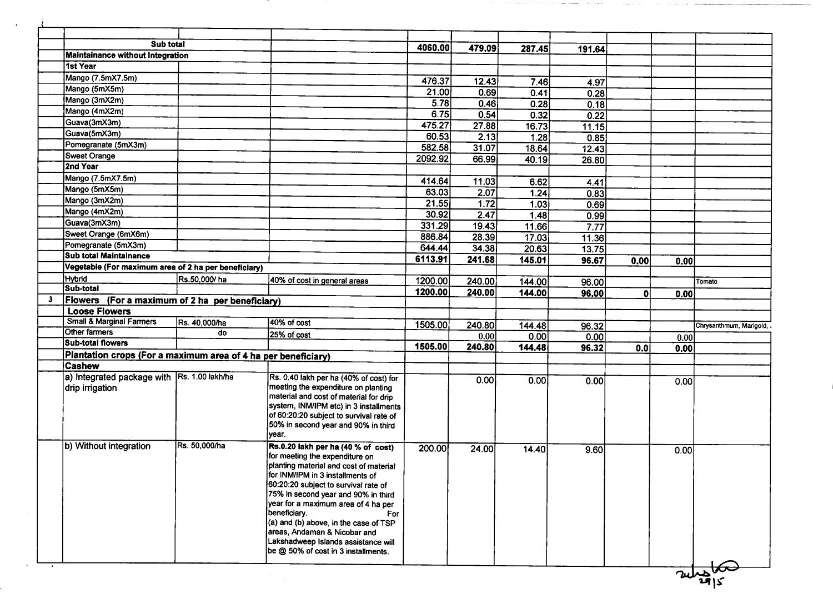| Sub total                                                     |               |                                                                                                                                                                                                                                                                                                                                                                                                                 | 4060.00            | 479.09         | 287.45         | 191.64 |                  |      |                         |
|---------------------------------------------------------------|---------------|-----------------------------------------------------------------------------------------------------------------------------------------------------------------------------------------------------------------------------------------------------------------------------------------------------------------------------------------------------------------------------------------------------------------|--------------------|----------------|----------------|--------|------------------|------|-------------------------|
| <b>Maintainance without Integration</b>                       |               |                                                                                                                                                                                                                                                                                                                                                                                                                 |                    |                |                |        |                  |      |                         |
| 1st Year                                                      |               |                                                                                                                                                                                                                                                                                                                                                                                                                 |                    |                |                |        |                  |      |                         |
| Mango (7.5mX7.5m)                                             |               |                                                                                                                                                                                                                                                                                                                                                                                                                 | 476.37             | 12.43          | 7.46           | 4.97   |                  |      |                         |
| Mango (5mX5m)                                                 |               |                                                                                                                                                                                                                                                                                                                                                                                                                 | 21.00              | 0.69           | 0.41           | 0.28   |                  |      |                         |
| Mango (3mX2m)                                                 |               |                                                                                                                                                                                                                                                                                                                                                                                                                 | 5.78               | 0.46           | 0.28           | 0.18   |                  |      |                         |
| Mango (4mX2m)                                                 |               |                                                                                                                                                                                                                                                                                                                                                                                                                 | 6.75               | 0.54           | 0.32           | 0.22   |                  |      |                         |
| Guava(3mX3m)                                                  |               |                                                                                                                                                                                                                                                                                                                                                                                                                 | 475.27             | 27.88          | 16.73          | 11.15  |                  |      |                         |
| Guava(5mX3m)                                                  |               |                                                                                                                                                                                                                                                                                                                                                                                                                 | 60.53              | 2.13           | 1.28           | 0.85   |                  |      |                         |
| Pomegranate (5mX3m)                                           |               |                                                                                                                                                                                                                                                                                                                                                                                                                 | 582.58             | 31.07          | 18.64          | 12.43  |                  |      |                         |
| <b>Sweet Orange</b>                                           |               |                                                                                                                                                                                                                                                                                                                                                                                                                 | 2092.92            | 66.99          | 40.19          | 26.80  |                  |      |                         |
| 2nd Year                                                      |               |                                                                                                                                                                                                                                                                                                                                                                                                                 |                    |                |                |        |                  |      |                         |
| Mango (7.5mX7.5m)                                             |               |                                                                                                                                                                                                                                                                                                                                                                                                                 | 414.64             | 11.03          | 6.62           | 4.41   |                  |      |                         |
| Mango (5mX5m)                                                 |               |                                                                                                                                                                                                                                                                                                                                                                                                                 | 63.03              | 2.07           | 1.24           | 0.83   |                  |      |                         |
| Mango (3mX2m)                                                 |               |                                                                                                                                                                                                                                                                                                                                                                                                                 | 21.55              | 1.72           | 1.03           |        |                  |      |                         |
| Mango (4mX2m)                                                 |               |                                                                                                                                                                                                                                                                                                                                                                                                                 | 30.92              | 2.47           | 1.48           | 0.69   |                  |      |                         |
| Guava(3mX3m)                                                  |               |                                                                                                                                                                                                                                                                                                                                                                                                                 | 331.29             | 19.43          |                | 0.99   |                  |      |                         |
| Sweet Orange (6mX6m)                                          |               |                                                                                                                                                                                                                                                                                                                                                                                                                 | 886.84             | 28.39          | 11.66<br>17.03 | 7.77   |                  |      |                         |
| Pomegranate (5mX3m)                                           |               |                                                                                                                                                                                                                                                                                                                                                                                                                 | 644.44             |                |                | 11.36  |                  |      |                         |
| <b>Sub total Maintainance</b>                                 |               |                                                                                                                                                                                                                                                                                                                                                                                                                 |                    | 34.38          | 20.63          | 13.75  |                  |      |                         |
| Vegetable (For maximum area of 2 ha per beneficiary)          |               |                                                                                                                                                                                                                                                                                                                                                                                                                 | 6113.91            | 241.68         | 145.01         | 96.67  | 0.00             | 0.00 |                         |
| Hybrid                                                        | Rs.50,000/ha  | 40% of cost in general areas                                                                                                                                                                                                                                                                                                                                                                                    |                    |                |                |        |                  |      |                         |
| Sub-total                                                     |               |                                                                                                                                                                                                                                                                                                                                                                                                                 | 1200.00<br>1200.00 | 240.00         | 144.00         | 96.00  |                  |      | Tomato                  |
| Flowers (For a maximum of 2 ha per beneficiary)               |               |                                                                                                                                                                                                                                                                                                                                                                                                                 |                    | 240.00         | 144.00         | 96.00  | Ol               | 0.00 |                         |
| <b>Loose Flowers</b>                                          |               |                                                                                                                                                                                                                                                                                                                                                                                                                 |                    |                |                |        |                  |      |                         |
| <b>Small &amp; Marginal Farmers</b>                           | Rs. 40,000/ha | 40% of cost                                                                                                                                                                                                                                                                                                                                                                                                     |                    |                |                |        |                  |      |                         |
| Other farmers                                                 | do            | 25% of cost                                                                                                                                                                                                                                                                                                                                                                                                     | 1505.00            | 240.80         | 144.48         | 96.32  |                  |      | Chrysanthmum, Marigold, |
| <b>Sub-total flowers</b>                                      |               |                                                                                                                                                                                                                                                                                                                                                                                                                 | 1505.00            | 0.00<br>240.80 | 0.00           | 0.00   |                  | 0.00 |                         |
| Plantation crops (For a maximum area of 4 ha per beneficiary) |               |                                                                                                                                                                                                                                                                                                                                                                                                                 |                    |                | 144.48         | 96.32  | 0.0 <sub>1</sub> | 0.00 |                         |
| <b>Cashew</b>                                                 |               |                                                                                                                                                                                                                                                                                                                                                                                                                 |                    |                |                |        |                  |      |                         |
| a) Integrated package with Rs. 1.00 lakh/ha                   |               | Rs. 0.40 lakh per ha (40% of cost) for                                                                                                                                                                                                                                                                                                                                                                          |                    | 0.00           | 0.00           |        |                  |      |                         |
| drip irrigation                                               |               | meeting the expenditure on planting<br>material and cost of material for drip<br>system, INM/IPM etc) in 3 installments<br>of 60:20:20 subject to survival rate of<br>50% in second year and 90% in third<br>year.                                                                                                                                                                                              |                    |                |                | 0.00   |                  | 0.00 |                         |
| b) Without integration                                        | Rs. 50,000/ha | Rs.0.20 lakh per ha (40 % of cost)<br>for meeting the expenditure on<br>planting material and cost of material<br>for INM/IPM in 3 installments of<br>60:20:20 subject to survival rate of<br>75% in second year and 90% in third<br>year for a maximum area of 4 ha per<br>beneficiary.<br>For<br>(a) and (b) above, in the case of TSP<br>areas, Andaman & Nicobar and<br>Lakshadweep Islands assistance will | 200.00             | 24.00          | 14.40          | 9.60   |                  | 0.00 |                         |

 $\Delta \sim 10^4$ 

 $\mathbf{r}$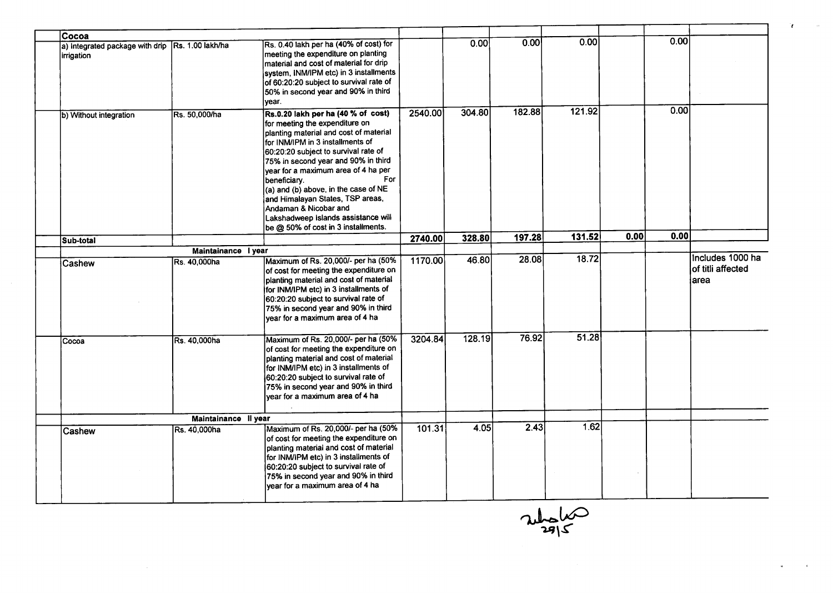| Cocoa                                                          |                      |                                                                                                                                                                                                                                                                                                                                                                                                                                                                                               |         |        |        |        |      |      |                                               |
|----------------------------------------------------------------|----------------------|-----------------------------------------------------------------------------------------------------------------------------------------------------------------------------------------------------------------------------------------------------------------------------------------------------------------------------------------------------------------------------------------------------------------------------------------------------------------------------------------------|---------|--------|--------|--------|------|------|-----------------------------------------------|
| a) Integrated package with drip Rs. 1.00 lakh/ha<br>irrigation |                      | Rs. 0.40 lakh per ha (40% of cost) for<br>meeting the expenditure on planting<br>material and cost of material for drip<br>system, INM/IPM etc) in 3 installments<br>of 60:20:20 subject to survival rate of<br>50% in second year and 90% in third                                                                                                                                                                                                                                           |         | 0.00   | 0.00   | 0.00   |      | 0.00 |                                               |
| b) Without integration                                         | Rs. 50,000/ha        | year.<br>Rs.0.20 lakh per ha (40 % of cost)<br>for meeting the expenditure on<br>planting material and cost of material<br>for INM/IPM in 3 installments of<br>60:20:20 subject to survival rate of<br>75% in second year and 90% in third<br>year for a maximum area of 4 ha per<br>For<br>beneficiary.<br>$(a)$ and (b) above, in the case of NE<br>and Himalayan States, TSP areas,<br>Andaman & Nicobar and<br>Lakshadweep Islands assistance will<br>be @ 50% of cost in 3 installments. | 2540.00 | 304.80 | 182.88 | 121.92 |      | 0.00 |                                               |
| Sub-total                                                      |                      |                                                                                                                                                                                                                                                                                                                                                                                                                                                                                               | 2740.00 | 328.80 | 197.28 | 131.52 | 0.00 | 0.00 |                                               |
|                                                                | Maintainance I year  |                                                                                                                                                                                                                                                                                                                                                                                                                                                                                               |         |        |        |        |      |      |                                               |
| Cashew                                                         | <b>Rs. 40.000ha</b>  | Maximum of Rs. 20,000/- per ha (50%<br>of cost for meeting the expenditure on<br>planting material and cost of material<br>for INM/IPM etc) in 3 installments of<br>60:20:20 subject to survival rate of<br>75% in second year and 90% in third<br>year for a maximum area of 4 ha                                                                                                                                                                                                            | 1170.00 | 46.80  | 28.08  | 18.72  |      |      | Includes 1000 ha<br>of titli affected<br>area |
| Cocoa                                                          | Rs. 40,000ha         | Maximum of Rs. 20,000/- per ha (50%<br>of cost for meeting the expenditure on<br>planting material and cost of material<br>for INM/IPM etc) in 3 installments of<br>60:20:20 subject to survival rate of<br>75% in second year and 90% in third<br>year for a maximum area of 4 ha                                                                                                                                                                                                            | 3204.84 | 128.19 | 76.92  | 51.28  |      |      |                                               |
|                                                                | Maintainance II year |                                                                                                                                                                                                                                                                                                                                                                                                                                                                                               |         |        |        |        |      |      |                                               |
| Cashew                                                         | Rs. 40,000ha         | Maximum of Rs. 20,000/- per ha (50%<br>of cost for meeting the expenditure on<br>planting material and cost of material<br>for INM/IPM etc) in 3 installments of<br>60:20:20 subject to survival rate of<br>75% in second year and 90% in third<br>year for a maximum area of 4 ha                                                                                                                                                                                                            | 101.31  | 4.05   | 2.43   | 1.62   |      |      |                                               |

 $\frac{24}{2815}$ 

 $\mathbf{t}$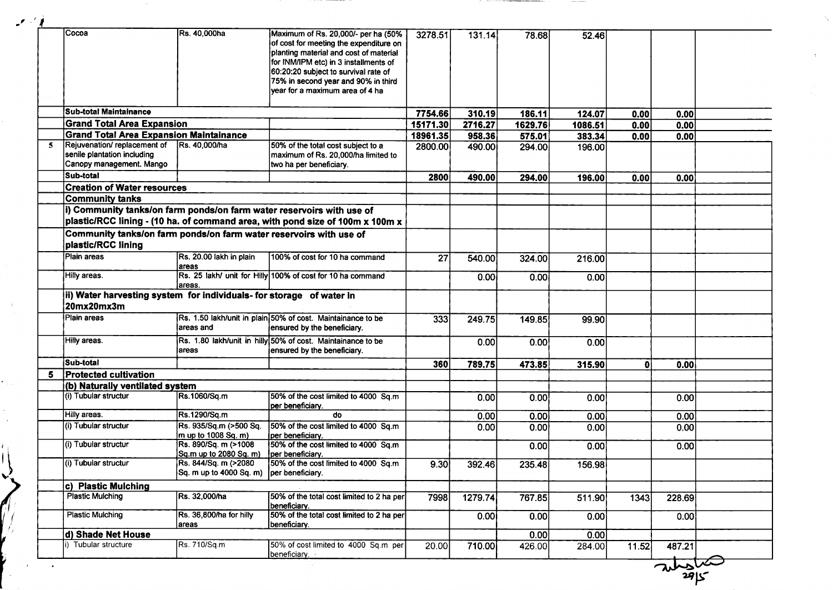|    | Cocoa                                                                              | Rs. 40,000ha                            | Maximum of Rs. 20,000/- per ha (50%                                           | 3278.51  | 131.14            | 78.68          | 52.46          |       |        |  |
|----|------------------------------------------------------------------------------------|-----------------------------------------|-------------------------------------------------------------------------------|----------|-------------------|----------------|----------------|-------|--------|--|
|    |                                                                                    |                                         | of cost for meeting the expenditure on                                        |          |                   |                |                |       |        |  |
|    |                                                                                    |                                         | planting material and cost of material                                        |          |                   |                |                |       |        |  |
|    |                                                                                    |                                         | for INM/IPM etc) in 3 installments of                                         |          |                   |                |                |       |        |  |
|    |                                                                                    |                                         | 60:20:20 subject to survival rate of                                          |          |                   |                |                |       |        |  |
|    |                                                                                    |                                         | 75% in second year and 90% in third                                           |          |                   |                |                |       |        |  |
|    |                                                                                    |                                         | year for a maximum area of 4 ha                                               |          |                   |                |                |       |        |  |
|    | lSub-total Maintainance                                                            |                                         |                                                                               | 7754.66  | 310.19            | 186.11         | 124.07         | 0.00  | 0.00   |  |
|    | <b>Grand Total Area Expansion</b>                                                  |                                         |                                                                               | 15171.30 | 2716.27           | 1629.76        | 1086.51        | 0.00  | 0.00   |  |
|    | <b>Grand Total Area Expansion Maintainance</b>                                     |                                         |                                                                               | 18961.35 | 958.36            | 575.01         | 383.34         | 0.00  | 0.00   |  |
| 5  | Rejuvenation/replacement of                                                        | Rs. 40,000/ha                           | 50% of the total cost subject to a                                            | 2800.00  | 490.00            | 294.00         | 196.00         |       |        |  |
|    | senile plantation including                                                        |                                         | maximum of Rs. 20,000/ha limited to                                           |          |                   |                |                |       |        |  |
|    | Canopy management. Mango                                                           |                                         | two ha per beneficiary.                                                       |          |                   |                |                |       |        |  |
|    | Sub-total                                                                          |                                         |                                                                               | 2800     | 490.00            | 294.00         | 196.00         | 0.00  | 0.00   |  |
|    | <b>Creation of Water resources</b>                                                 |                                         |                                                                               |          |                   |                |                |       |        |  |
|    | Community tanks                                                                    |                                         |                                                                               |          |                   |                |                |       |        |  |
|    | i) Community tanks/on farm ponds/on farm water reservoirs with use of              |                                         |                                                                               |          |                   |                |                |       |        |  |
|    |                                                                                    |                                         | plastic/RCC lining - (10 ha. of command area, with pond size of 100m x 100m x |          |                   |                |                |       |        |  |
|    | Community tanks/on farm ponds/on farm water reservoirs with use of                 |                                         |                                                                               |          |                   |                |                |       |        |  |
|    | plastic/RCC lining                                                                 |                                         |                                                                               |          |                   |                |                |       |        |  |
|    | Plain areas                                                                        | Rs. 20.00 lakh in plain<br>areas        | 100% of cost for 10 ha command                                                | 27       | 540.00            | 324.00         | 216.00         |       |        |  |
|    | Hilly areas.                                                                       | lareas.                                 | Rs. 25 lakh/ unit for Hilly 100% of cost for 10 ha command                    |          | 0.00              | 0.00           | 0.00           |       |        |  |
|    |                                                                                    |                                         |                                                                               |          |                   |                |                |       |        |  |
|    |                                                                                    |                                         |                                                                               |          |                   |                |                |       |        |  |
|    | ii) Water harvesting system for individuals- for storage of water in<br>20mx20mx3m |                                         |                                                                               |          |                   |                |                |       |        |  |
|    | Plain areas                                                                        |                                         | Rs. 1.50 lakh/unit in plain 50% of cost. Maintainance to be                   |          |                   |                |                |       |        |  |
|    |                                                                                    | areas and                               | ensured by the beneficiary.                                                   | 333      | 249.75            | 149.85         | 99.90          |       |        |  |
|    |                                                                                    |                                         |                                                                               |          |                   |                |                |       |        |  |
|    | Hilly areas.                                                                       | areas                                   | Rs. 1.80 lakh/unit in hilly 50% of cost. Maintainance to be                   |          | 0.00              | 0.00           | 0.00           |       |        |  |
|    |                                                                                    |                                         | ensured by the beneficiary.                                                   |          |                   |                |                |       |        |  |
|    | ÍSub-total                                                                         |                                         |                                                                               | 360      | 789.75            | 473.85         | 315.90         | 0l    | 0.00   |  |
| 5. | <b>Protected cultivation</b>                                                       |                                         |                                                                               |          |                   |                |                |       |        |  |
|    | (b) Naturally ventilated system                                                    |                                         |                                                                               |          |                   |                |                |       |        |  |
|    | (i) Tubular structur                                                               | Rs.1060/Sq.m                            | 50% of the cost limited to 4000 Sq.m<br>per beneficiary.                      |          | 0.00              | 0.00           | 0.00           |       | 0.00   |  |
|    | Hilly areas.                                                                       | Rs.1290/Sq.m                            | do                                                                            |          | 0.00              |                |                |       | 0.00   |  |
|    | (i) Tubular structur                                                               | Rs. 935/Sq.m (>500 Sq.                  | 50% of the cost limited to 4000 Sq.m                                          |          |                   | 0.00           | 0.00           |       |        |  |
|    |                                                                                    | $m$ up to 1008 Sq. m)                   | per beneficiary.                                                              |          | 0.00              | 0.00           | 0.00           |       | 0.00   |  |
|    | (i) Tubular structur                                                               | Rs. 890/Sq. m (>1008                    | 50% of the cost limited to 4000 Sq.m                                          |          |                   | 0.00           | 0.00           |       | 0.00   |  |
|    |                                                                                    | Sq.m up to 2080 Sq. m) per beneficiary. |                                                                               |          |                   |                |                |       |        |  |
|    | (i) Tubular structur                                                               | Rs. 844/Sq. m (>2080                    | 50% of the cost limited to 4000 Sq.m                                          | 9.30     | 392.46            | 235.48         | 156.98         |       |        |  |
|    |                                                                                    | Sq. m up to 4000 Sq. m)                 | per beneficiary.                                                              |          |                   |                |                |       |        |  |
|    | c) Plastic Mulching                                                                |                                         |                                                                               |          |                   |                |                |       |        |  |
|    | <b>Plastic Mulching</b>                                                            | Rs. 32,000/ha                           | 50% of the total cost limited to 2 ha per<br>beneficiary.                     | 7998     | 1279.74           | 767.85         | 511.90         | 1343  | 228.69 |  |
|    | <b>Plastic Mulching</b>                                                            | Rs. 36,800/ha for hilly                 | 50% of the total cost limited to 2 ha per                                     |          | 0.00 <sub>1</sub> | 0.00           | 0.00           |       | 0.00   |  |
|    |                                                                                    | areas                                   | beneficiary.                                                                  |          |                   |                |                |       |        |  |
|    | d) Shade Net House<br>i) Tubular structure                                         | Rs. 710/Sq.m                            | 50% of cost limited to 4000 Sq.m per                                          | 20.00    | 710.00            | 0.00<br>426.00 | 0.00<br>284.00 | 11.52 | 487.21 |  |

 ${2915}$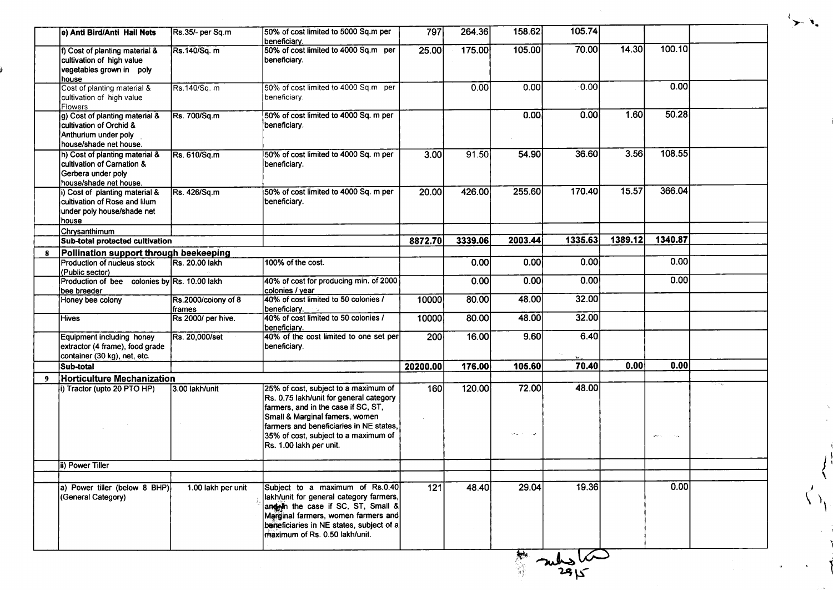| e) Anti Bird/Anti Hail Nets<br>f) Cost of planting material &                                                | Rs.35/- per Sq.m                     | 50% of cost limited to 5000 Sq.m per                                                                                                                                                                                                                                   |          |         |                                   |         |         |                        |  |
|--------------------------------------------------------------------------------------------------------------|--------------------------------------|------------------------------------------------------------------------------------------------------------------------------------------------------------------------------------------------------------------------------------------------------------------------|----------|---------|-----------------------------------|---------|---------|------------------------|--|
|                                                                                                              |                                      | beneficiary.                                                                                                                                                                                                                                                           | 797      | 264.36  | 158.62                            | 105.74  |         |                        |  |
| cultivation of high value<br>vegetables grown in poly<br>house                                               | Rs.140/Sq. m                         | 50% of cost limited to 4000 Sq.m per<br>beneficiary.                                                                                                                                                                                                                   | 25.00    | 175.00  | 105.00                            | 70.00   | 14.30   | 100.10                 |  |
| Cost of planting material &<br>cultivation of high value<br>Flowers                                          | Rs.140/Sq. m                         | 50% of cost limited to 4000 Sq.m per<br>beneficiary.                                                                                                                                                                                                                   |          | 0.00    | 0.00                              | 0.00    |         | 0.00                   |  |
| g) Cost of planting material &<br>cultivation of Orchid &<br>Anthurium under polv<br>house/shade net house.  | Rs. 700/Sq.m                         | 50% of cost limited to 4000 Sq. m per<br>beneficiary.                                                                                                                                                                                                                  |          |         | 0.00                              | 0.00    | 1.60    | 50.28                  |  |
| h) Cost of planting material &<br>cultivation of Carnation &<br>Gerbera under poly<br>house/shade net house. | Rs. 610/Sq.m                         | 50% of cost limited to 4000 Sq. m per<br>beneficiary.                                                                                                                                                                                                                  | 3.00     | 91.50   | 54.90                             | 36.60   | 3.56    | 108.55                 |  |
| i) Cost of planting material &<br>cultivation of Rose and lilum<br>under poly house/shade net<br>house       | Rs. 426/Sq.m                         | 50% of cost limited to 4000 Sq. m per<br>beneficiary.                                                                                                                                                                                                                  | 20.00    | 426.00  | 255.60                            | 170.40  | 15.57   | 366.04                 |  |
| Chrysanthimum                                                                                                |                                      |                                                                                                                                                                                                                                                                        |          |         |                                   |         |         |                        |  |
| Sub-total protected cultivation                                                                              |                                      |                                                                                                                                                                                                                                                                        | 8872.70  | 3339.06 | 2003.44                           | 1335.63 | 1389.12 | 1340.87                |  |
| Pollination support through beekeeping                                                                       |                                      |                                                                                                                                                                                                                                                                        |          |         |                                   |         |         |                        |  |
| Production of nucleus stock<br>(Public sector)                                                               | Rs. 20.00 lakh                       | 100% of the cost.                                                                                                                                                                                                                                                      |          | 0.00    | 0.00                              | 0.00    |         | 0.00                   |  |
| Production of bee colonies by Rs. 10.00 lakh<br>bee breeder                                                  |                                      | 40% of cost for producing min. of 2000<br>colonies / year                                                                                                                                                                                                              |          | 0.00    | 0.00                              | 0.00    |         | 0.00                   |  |
| Honey bee colony                                                                                             | Rs.2000/colony of 8<br><b>frames</b> | 40% of cost limited to 50 colonies /<br>beneficiary.                                                                                                                                                                                                                   | 10000    | 80.00   | 48.00                             | 32.00   |         |                        |  |
| Hives                                                                                                        | Rs 2000/ per hive.                   | 40% of cost limited to 50 colonies /<br>beneficiary.                                                                                                                                                                                                                   | 10000    | 80.00   | 48.00                             | 32.00   |         |                        |  |
| Equipment including honey<br>extractor (4 frame), food grade<br>container (30 kg), net, etc.                 | Rs. 20,000/set                       | 40% of the cost limited to one set per<br>beneficiary.                                                                                                                                                                                                                 | 200      | 16.00   | 9.60                              | 6.40    |         |                        |  |
| Sub-total                                                                                                    |                                      |                                                                                                                                                                                                                                                                        | 20200.00 | 176.00  | 105.60                            | 70.40   | 0.00    | 0.00                   |  |
| <b>Horticulture Mechanization</b>                                                                            |                                      |                                                                                                                                                                                                                                                                        |          |         |                                   |         |         |                        |  |
| i) Tractor (upto 20 PTO HP)                                                                                  | 3.00 lakh/unit                       | 25% of cost, subject to a maximum of<br>Rs. 0.75 lakh/unit for general category<br>farmers, and in the case if SC, ST,<br>Small & Marginal famers, women<br>farmers and beneficiaries in NE states,<br>35% of cost, subject to a maximum of<br>Rs. 1.00 lakh per unit. | 160      | 120.00  | 72.00<br>tar es<br>$\sim 10^{11}$ | 48.00   |         | $\sim$ $\sim$<br>sev c |  |
| ii) Power Tiller                                                                                             |                                      |                                                                                                                                                                                                                                                                        |          |         |                                   |         |         |                        |  |
|                                                                                                              |                                      |                                                                                                                                                                                                                                                                        |          |         |                                   |         |         |                        |  |
| a) Power tiller (below 8 BHP)<br>(General Category)                                                          | 1.00 lakh per unit                   | Subject to a maximum of Rs.0.40<br>lakh/unit for general category farmers,<br>and in the case if SC, ST, Small &<br>Marginal farmers, women farmers and<br>beneficiaries in NE states, subject of a<br>maximum of Rs. 0.50 lakh/unit.                                  | 121      | 48.40   | 29.04                             | 19.36   |         | 0.00                   |  |

 $\rightarrow$   $\hat{\mathbf{r}}$ .

 $\left\langle \right\rangle$ 

I; I

 $\big\langle \! \begin{array}{c} \lambda \end{array} \! \big\rangle$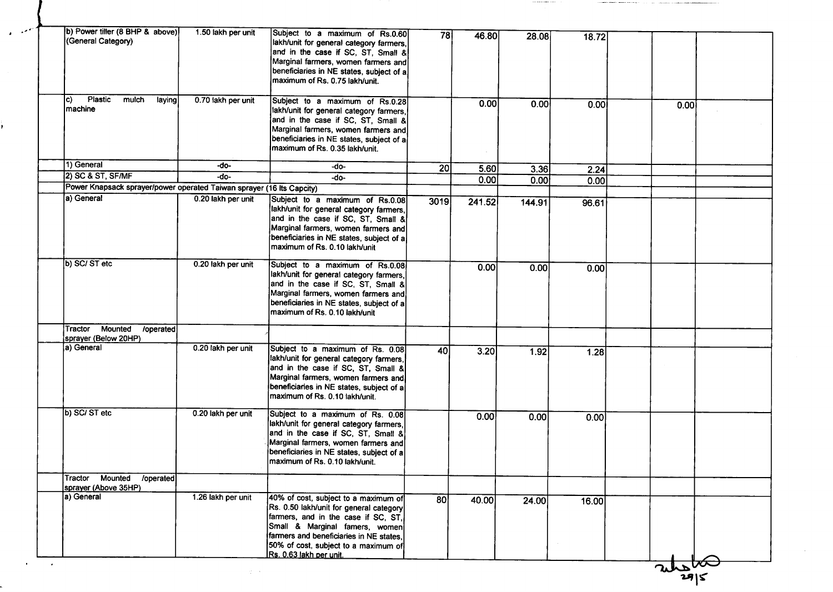| b) Power tiller (8 BHP & above)<br>(General Category)<br>Plastic<br>lc)<br>mulch | 1.50 lakh per unit | Subject to a maximum of Rs.0.60<br>lakh/unit for general category farmers,<br>and in the case if SC, ST, Small &<br>Marginal farmers, women farmers and<br>beneficiaries in NE states, subject of a<br>maximum of Rs. 0.75 lakh/unit.                                  | 78              | 46.80  | 28.08  | 18.72 |      |  |
|----------------------------------------------------------------------------------|--------------------|------------------------------------------------------------------------------------------------------------------------------------------------------------------------------------------------------------------------------------------------------------------------|-----------------|--------|--------|-------|------|--|
| laying<br> machine                                                               | 0.70 lakh per unit | Subject to a maximum of Rs.0.28<br>lakh/unit for general category farmers,<br>and in the case if SC, ST, Small &<br>Marginal farmers, women farmers and<br>beneficiaries in NE states, subject of a<br>maximum of Rs. 0.35 lakh/unit.                                  |                 | 0.00   | 0.00   | 0.00  | 0.00 |  |
| 1) General                                                                       | -do-               | -do-                                                                                                                                                                                                                                                                   | 20 <sup>2</sup> | 5.60   | 3.36   | 2.24  |      |  |
| 2) SC & ST, SF/MF                                                                | -do-               | $-do-$                                                                                                                                                                                                                                                                 |                 | 0.00   | 0.00   | 0.00  |      |  |
| Power Knapsack sprayer/power operated Taiwan sprayer (16 lts Capcity)            |                    |                                                                                                                                                                                                                                                                        |                 |        |        |       |      |  |
| (a) General                                                                      | 0.20 lakh per unit | Subject to a maximum of Rs.0.08<br>lakh/unit for general category farmers,<br>and in the case if SC, ST, Small &<br>Marginal farmers, women farmers and<br>beneficiaries in NE states, subject of a<br>maximum of Rs. 0.10 lakh/unit                                   | 3019            | 241.52 | 144.91 | 96.61 |      |  |
| b) SC/ ST etc<br><b>Mounted</b><br>Tractor                                       | 0.20 lakh per unit | Subject to a maximum of Rs.0.08<br>lakh/unit for general category farmers,<br>and in the case if SC, ST, Small &<br>Marginal farmers, women farmers and<br>beneficiaries in NE states, subject of a<br>maximum of Rs. 0.10 lakh/unit                                   |                 | 0.00   | 0.00   | 0.00  |      |  |
| /operated<br>sprayer (Below 20HP)                                                |                    |                                                                                                                                                                                                                                                                        |                 |        |        |       |      |  |
| [a) General                                                                      | 0.20 lakh per unit | Subject to a maximum of Rs. 0.08<br>lakh/unit for general category farmers,<br>and in the case if SC, ST, Small &<br>Marginal farmers, women farmers and<br>beneficiaries in NE states, subject of a<br>maximum of Rs. 0.10 lakh/unit.                                 | 40              | 3.20   | 1.92   | 1.28  |      |  |
| b) SC/ ST etc                                                                    | 0.20 lakh per unit | Subject to a maximum of Rs. 0.08<br>lakh/unit for general category farmers,<br>and in the case if SC, ST, Small &<br>Marginal farmers, women farmers and<br>beneficiaries in NE states, subject of a<br>maximum of Rs. 0.10 lakh/unit.                                 |                 | 0.00   | 0.00   | 0.00  |      |  |
| Mounted<br>/operated<br>Tractor                                                  |                    |                                                                                                                                                                                                                                                                        |                 |        |        |       |      |  |
| sprayer (Above 35HP)<br>a) General                                               | 1.26 lakh per unit | 40% of cost, subject to a maximum of<br>Rs. 0.50 lakh/unit for general category<br>farmers, and in the case if SC, ST,<br>Small & Marginal famers, women<br>farmers and beneficiaries in NE states,<br>50% of cost, subject to a maximum of<br>Rs. 0.63 lakh per unit. | 80              | 40.00  | 24.00  | 16.00 |      |  |

 $\mathcal{L} \subset \mathcal{R}$ 

فيمتعب

고-<br>29|S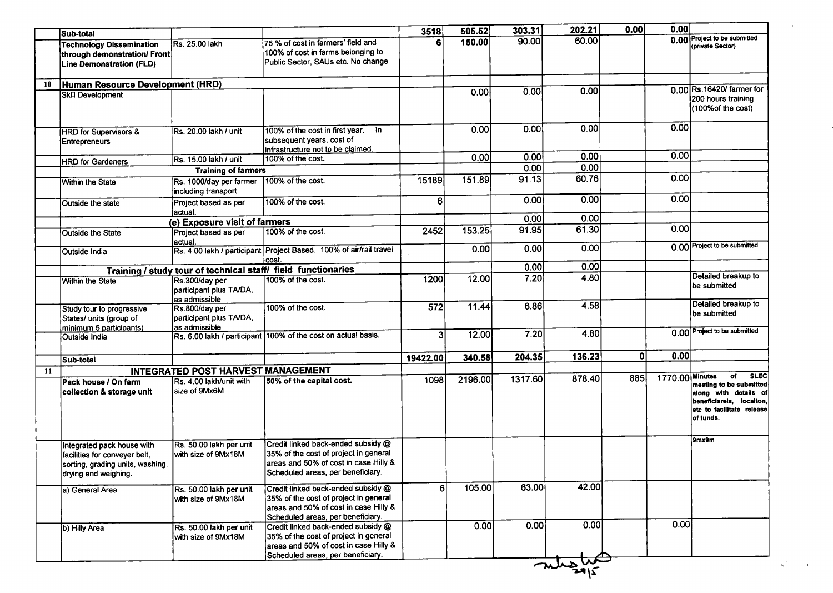| 0.00 Project to be submitted<br>60.00<br>90.00<br>150.00<br>75 % of cost in farmers' field and<br>Rs. 25.00 lakh<br><b>Technology Dissemination</b><br>(private Sector)<br>100% of cost in farms belonging to<br>through demonstration/ Front<br>Public Sector, SAUs etc. No change<br>Line Demonstration (FLD)<br>Human Resource Development (HRD)<br>10<br>0.00 Rs.16420/ farmer for<br>0.00<br>0.00<br>0.00<br>Skill Development<br>200 hours training<br>(100% of the cost)<br>0.00<br>0.00<br>0.00<br>0.00<br>100% of the cost in first year. In<br>Rs. 20.00 lakh / unit<br><b>HRD</b> for Supervisors &<br>subsequent years, cost of<br><b>Entrepreneurs</b><br>infrastructure not to be claimed.<br>0.00<br>0.00<br>0.00<br>0.00<br>100% of the cost.<br>Rs. 15.00 lakh / unit<br><b>HRD for Gardeners</b><br>0.00<br>0.00<br><b>Training of farmers</b><br>0.00<br>60.76<br>91.13<br>151.89<br>15189<br>$100\%$ of the cost.<br>Rs. 1000/day per farmer<br><b>Within the State</b><br>including transport<br>0.00<br>0.00<br>0.00<br>6<br>100% of the cost.<br>Project based as per<br>Outside the state<br>actual.<br>0.00<br>0.00<br>(e) Exposure visit of farmers<br>0.00<br>61.30<br>91.95<br>153.25<br>2452<br>100% of the cost.<br>Project based as per<br>Outside the State<br>actual.<br>0.00 Project to be submitted<br>0.00<br>0.00<br>0.00<br>Rs. 4.00 lakh / participant Project Based. 100% of air/rail travel<br><b>Outside India</b><br>cost.<br>0.00<br>0.00<br>Training / study tour of technical staff/ field functionaries<br>Detailed breakup to<br>4.80<br>7.20<br>12.00<br>1200<br>100% of the cost.<br>Rs.300/day per<br><b>Within the State</b><br>be submitted<br>participant plus TA/DA,<br>as admissible<br>Detailed breakup to<br>4.58<br>6.86<br>$\overline{572}$<br>11.44<br>100% of the cost.<br>Rs.800/day per<br>Study tour to progressive<br>be submitted<br>States/ units (group of<br>participant plus TA/DA,<br>as admissible<br>minimum 5 participants)<br>0.00 Project to be submitted<br>4.80<br>7.20<br>3<br>12.00<br>Rs. 6.00 lakh / participant 100% of the cost on actual basis.<br>Outside India<br>0.00<br>136.23<br>0<br>204.35<br>340.58<br>19422.00<br>Sub-total<br><b>INTEGRATED POST HARVEST MANAGEMENT</b><br>11<br><b>SLEC</b><br>of<br>1770.00 Minutes<br>885<br>878.40<br>1317.60<br>1098<br>2196.00<br>50% of the capital cost.<br>IRs. 4.00 lakh/unit with<br>lPack house / On farm<br>meeting to be submitted<br>lsize of 9Mx6M<br>collection & storage unit<br>along with details of<br>beneficiarels, locaiton,<br>etc to facilitate release<br>of funds.<br>9mx9m<br>Credit linked back-ended subsidy @<br>Rs. 50.00 lakh per unit<br>Integrated pack house with<br>35% of the cost of project in general<br>with size of 9Mx18M<br>facilities for conveyer belt.<br>areas and 50% of cost in case Hilly &<br>sorting, grading units, washing,<br>Scheduled areas, per beneficiary.<br>drying and weighing.<br>42.00<br>63.00<br>105.00<br>6<br>Credit linked back-ended subsidy @<br>a) General Area<br>Rs. 50.00 lakh per unit<br>35% of the cost of project in general<br>with size of 9Mx18M<br>areas and 50% of cost in case Hilly &<br>Scheduled areas, per beneficiary.<br>0.00<br>0.00<br>0.00<br>0.00<br>Credit linked back-ended subsidy @<br>Rs. 50.00 lakh per unit<br>b) Hilly Area<br>35% of the cost of project in general<br>with size of 9Mx18M<br>areas and 50% of cost in case Hilly &<br>Scheduled areas, per beneficiary.<br>$\frac{2}{\sqrt{2}}$ | Sub-total |  | 3518 | 505.52 | 303.31 | 202.21 | 0.00 | 0.00 |  |
|----------------------------------------------------------------------------------------------------------------------------------------------------------------------------------------------------------------------------------------------------------------------------------------------------------------------------------------------------------------------------------------------------------------------------------------------------------------------------------------------------------------------------------------------------------------------------------------------------------------------------------------------------------------------------------------------------------------------------------------------------------------------------------------------------------------------------------------------------------------------------------------------------------------------------------------------------------------------------------------------------------------------------------------------------------------------------------------------------------------------------------------------------------------------------------------------------------------------------------------------------------------------------------------------------------------------------------------------------------------------------------------------------------------------------------------------------------------------------------------------------------------------------------------------------------------------------------------------------------------------------------------------------------------------------------------------------------------------------------------------------------------------------------------------------------------------------------------------------------------------------------------------------------------------------------------------------------------------------------------------------------------------------------------------------------------------------------------------------------------------------------------------------------------------------------------------------------------------------------------------------------------------------------------------------------------------------------------------------------------------------------------------------------------------------------------------------------------------------------------------------------------------------------------------------------------------------------------------------------------------------------------------------------------------------------------------------------------------------------------------------------------------------------------------------------------------------------------------------------------------------------------------------------------------------------------------------------------------------------------------------------------------------------------------------------------------------------------------------------------------------------------------------------------------------------------------------------------------------------------------------------------------------------------------------------------------------------------------------------------------------------------------------------------------------------------------------------------------------------------------------------------------------------------------|-----------|--|------|--------|--------|--------|------|------|--|
|                                                                                                                                                                                                                                                                                                                                                                                                                                                                                                                                                                                                                                                                                                                                                                                                                                                                                                                                                                                                                                                                                                                                                                                                                                                                                                                                                                                                                                                                                                                                                                                                                                                                                                                                                                                                                                                                                                                                                                                                                                                                                                                                                                                                                                                                                                                                                                                                                                                                                                                                                                                                                                                                                                                                                                                                                                                                                                                                                                                                                                                                                                                                                                                                                                                                                                                                                                                                                                                                                                                                              |           |  |      |        |        |        |      |      |  |
|                                                                                                                                                                                                                                                                                                                                                                                                                                                                                                                                                                                                                                                                                                                                                                                                                                                                                                                                                                                                                                                                                                                                                                                                                                                                                                                                                                                                                                                                                                                                                                                                                                                                                                                                                                                                                                                                                                                                                                                                                                                                                                                                                                                                                                                                                                                                                                                                                                                                                                                                                                                                                                                                                                                                                                                                                                                                                                                                                                                                                                                                                                                                                                                                                                                                                                                                                                                                                                                                                                                                              |           |  |      |        |        |        |      |      |  |
|                                                                                                                                                                                                                                                                                                                                                                                                                                                                                                                                                                                                                                                                                                                                                                                                                                                                                                                                                                                                                                                                                                                                                                                                                                                                                                                                                                                                                                                                                                                                                                                                                                                                                                                                                                                                                                                                                                                                                                                                                                                                                                                                                                                                                                                                                                                                                                                                                                                                                                                                                                                                                                                                                                                                                                                                                                                                                                                                                                                                                                                                                                                                                                                                                                                                                                                                                                                                                                                                                                                                              |           |  |      |        |        |        |      |      |  |
|                                                                                                                                                                                                                                                                                                                                                                                                                                                                                                                                                                                                                                                                                                                                                                                                                                                                                                                                                                                                                                                                                                                                                                                                                                                                                                                                                                                                                                                                                                                                                                                                                                                                                                                                                                                                                                                                                                                                                                                                                                                                                                                                                                                                                                                                                                                                                                                                                                                                                                                                                                                                                                                                                                                                                                                                                                                                                                                                                                                                                                                                                                                                                                                                                                                                                                                                                                                                                                                                                                                                              |           |  |      |        |        |        |      |      |  |
|                                                                                                                                                                                                                                                                                                                                                                                                                                                                                                                                                                                                                                                                                                                                                                                                                                                                                                                                                                                                                                                                                                                                                                                                                                                                                                                                                                                                                                                                                                                                                                                                                                                                                                                                                                                                                                                                                                                                                                                                                                                                                                                                                                                                                                                                                                                                                                                                                                                                                                                                                                                                                                                                                                                                                                                                                                                                                                                                                                                                                                                                                                                                                                                                                                                                                                                                                                                                                                                                                                                                              |           |  |      |        |        |        |      |      |  |
|                                                                                                                                                                                                                                                                                                                                                                                                                                                                                                                                                                                                                                                                                                                                                                                                                                                                                                                                                                                                                                                                                                                                                                                                                                                                                                                                                                                                                                                                                                                                                                                                                                                                                                                                                                                                                                                                                                                                                                                                                                                                                                                                                                                                                                                                                                                                                                                                                                                                                                                                                                                                                                                                                                                                                                                                                                                                                                                                                                                                                                                                                                                                                                                                                                                                                                                                                                                                                                                                                                                                              |           |  |      |        |        |        |      |      |  |
|                                                                                                                                                                                                                                                                                                                                                                                                                                                                                                                                                                                                                                                                                                                                                                                                                                                                                                                                                                                                                                                                                                                                                                                                                                                                                                                                                                                                                                                                                                                                                                                                                                                                                                                                                                                                                                                                                                                                                                                                                                                                                                                                                                                                                                                                                                                                                                                                                                                                                                                                                                                                                                                                                                                                                                                                                                                                                                                                                                                                                                                                                                                                                                                                                                                                                                                                                                                                                                                                                                                                              |           |  |      |        |        |        |      |      |  |
|                                                                                                                                                                                                                                                                                                                                                                                                                                                                                                                                                                                                                                                                                                                                                                                                                                                                                                                                                                                                                                                                                                                                                                                                                                                                                                                                                                                                                                                                                                                                                                                                                                                                                                                                                                                                                                                                                                                                                                                                                                                                                                                                                                                                                                                                                                                                                                                                                                                                                                                                                                                                                                                                                                                                                                                                                                                                                                                                                                                                                                                                                                                                                                                                                                                                                                                                                                                                                                                                                                                                              |           |  |      |        |        |        |      |      |  |
|                                                                                                                                                                                                                                                                                                                                                                                                                                                                                                                                                                                                                                                                                                                                                                                                                                                                                                                                                                                                                                                                                                                                                                                                                                                                                                                                                                                                                                                                                                                                                                                                                                                                                                                                                                                                                                                                                                                                                                                                                                                                                                                                                                                                                                                                                                                                                                                                                                                                                                                                                                                                                                                                                                                                                                                                                                                                                                                                                                                                                                                                                                                                                                                                                                                                                                                                                                                                                                                                                                                                              |           |  |      |        |        |        |      |      |  |
|                                                                                                                                                                                                                                                                                                                                                                                                                                                                                                                                                                                                                                                                                                                                                                                                                                                                                                                                                                                                                                                                                                                                                                                                                                                                                                                                                                                                                                                                                                                                                                                                                                                                                                                                                                                                                                                                                                                                                                                                                                                                                                                                                                                                                                                                                                                                                                                                                                                                                                                                                                                                                                                                                                                                                                                                                                                                                                                                                                                                                                                                                                                                                                                                                                                                                                                                                                                                                                                                                                                                              |           |  |      |        |        |        |      |      |  |
|                                                                                                                                                                                                                                                                                                                                                                                                                                                                                                                                                                                                                                                                                                                                                                                                                                                                                                                                                                                                                                                                                                                                                                                                                                                                                                                                                                                                                                                                                                                                                                                                                                                                                                                                                                                                                                                                                                                                                                                                                                                                                                                                                                                                                                                                                                                                                                                                                                                                                                                                                                                                                                                                                                                                                                                                                                                                                                                                                                                                                                                                                                                                                                                                                                                                                                                                                                                                                                                                                                                                              |           |  |      |        |        |        |      |      |  |
|                                                                                                                                                                                                                                                                                                                                                                                                                                                                                                                                                                                                                                                                                                                                                                                                                                                                                                                                                                                                                                                                                                                                                                                                                                                                                                                                                                                                                                                                                                                                                                                                                                                                                                                                                                                                                                                                                                                                                                                                                                                                                                                                                                                                                                                                                                                                                                                                                                                                                                                                                                                                                                                                                                                                                                                                                                                                                                                                                                                                                                                                                                                                                                                                                                                                                                                                                                                                                                                                                                                                              |           |  |      |        |        |        |      |      |  |
|                                                                                                                                                                                                                                                                                                                                                                                                                                                                                                                                                                                                                                                                                                                                                                                                                                                                                                                                                                                                                                                                                                                                                                                                                                                                                                                                                                                                                                                                                                                                                                                                                                                                                                                                                                                                                                                                                                                                                                                                                                                                                                                                                                                                                                                                                                                                                                                                                                                                                                                                                                                                                                                                                                                                                                                                                                                                                                                                                                                                                                                                                                                                                                                                                                                                                                                                                                                                                                                                                                                                              |           |  |      |        |        |        |      |      |  |
|                                                                                                                                                                                                                                                                                                                                                                                                                                                                                                                                                                                                                                                                                                                                                                                                                                                                                                                                                                                                                                                                                                                                                                                                                                                                                                                                                                                                                                                                                                                                                                                                                                                                                                                                                                                                                                                                                                                                                                                                                                                                                                                                                                                                                                                                                                                                                                                                                                                                                                                                                                                                                                                                                                                                                                                                                                                                                                                                                                                                                                                                                                                                                                                                                                                                                                                                                                                                                                                                                                                                              |           |  |      |        |        |        |      |      |  |
|                                                                                                                                                                                                                                                                                                                                                                                                                                                                                                                                                                                                                                                                                                                                                                                                                                                                                                                                                                                                                                                                                                                                                                                                                                                                                                                                                                                                                                                                                                                                                                                                                                                                                                                                                                                                                                                                                                                                                                                                                                                                                                                                                                                                                                                                                                                                                                                                                                                                                                                                                                                                                                                                                                                                                                                                                                                                                                                                                                                                                                                                                                                                                                                                                                                                                                                                                                                                                                                                                                                                              |           |  |      |        |        |        |      |      |  |
|                                                                                                                                                                                                                                                                                                                                                                                                                                                                                                                                                                                                                                                                                                                                                                                                                                                                                                                                                                                                                                                                                                                                                                                                                                                                                                                                                                                                                                                                                                                                                                                                                                                                                                                                                                                                                                                                                                                                                                                                                                                                                                                                                                                                                                                                                                                                                                                                                                                                                                                                                                                                                                                                                                                                                                                                                                                                                                                                                                                                                                                                                                                                                                                                                                                                                                                                                                                                                                                                                                                                              |           |  |      |        |        |        |      |      |  |
|                                                                                                                                                                                                                                                                                                                                                                                                                                                                                                                                                                                                                                                                                                                                                                                                                                                                                                                                                                                                                                                                                                                                                                                                                                                                                                                                                                                                                                                                                                                                                                                                                                                                                                                                                                                                                                                                                                                                                                                                                                                                                                                                                                                                                                                                                                                                                                                                                                                                                                                                                                                                                                                                                                                                                                                                                                                                                                                                                                                                                                                                                                                                                                                                                                                                                                                                                                                                                                                                                                                                              |           |  |      |        |        |        |      |      |  |
|                                                                                                                                                                                                                                                                                                                                                                                                                                                                                                                                                                                                                                                                                                                                                                                                                                                                                                                                                                                                                                                                                                                                                                                                                                                                                                                                                                                                                                                                                                                                                                                                                                                                                                                                                                                                                                                                                                                                                                                                                                                                                                                                                                                                                                                                                                                                                                                                                                                                                                                                                                                                                                                                                                                                                                                                                                                                                                                                                                                                                                                                                                                                                                                                                                                                                                                                                                                                                                                                                                                                              |           |  |      |        |        |        |      |      |  |
|                                                                                                                                                                                                                                                                                                                                                                                                                                                                                                                                                                                                                                                                                                                                                                                                                                                                                                                                                                                                                                                                                                                                                                                                                                                                                                                                                                                                                                                                                                                                                                                                                                                                                                                                                                                                                                                                                                                                                                                                                                                                                                                                                                                                                                                                                                                                                                                                                                                                                                                                                                                                                                                                                                                                                                                                                                                                                                                                                                                                                                                                                                                                                                                                                                                                                                                                                                                                                                                                                                                                              |           |  |      |        |        |        |      |      |  |
|                                                                                                                                                                                                                                                                                                                                                                                                                                                                                                                                                                                                                                                                                                                                                                                                                                                                                                                                                                                                                                                                                                                                                                                                                                                                                                                                                                                                                                                                                                                                                                                                                                                                                                                                                                                                                                                                                                                                                                                                                                                                                                                                                                                                                                                                                                                                                                                                                                                                                                                                                                                                                                                                                                                                                                                                                                                                                                                                                                                                                                                                                                                                                                                                                                                                                                                                                                                                                                                                                                                                              |           |  |      |        |        |        |      |      |  |
|                                                                                                                                                                                                                                                                                                                                                                                                                                                                                                                                                                                                                                                                                                                                                                                                                                                                                                                                                                                                                                                                                                                                                                                                                                                                                                                                                                                                                                                                                                                                                                                                                                                                                                                                                                                                                                                                                                                                                                                                                                                                                                                                                                                                                                                                                                                                                                                                                                                                                                                                                                                                                                                                                                                                                                                                                                                                                                                                                                                                                                                                                                                                                                                                                                                                                                                                                                                                                                                                                                                                              |           |  |      |        |        |        |      |      |  |
|                                                                                                                                                                                                                                                                                                                                                                                                                                                                                                                                                                                                                                                                                                                                                                                                                                                                                                                                                                                                                                                                                                                                                                                                                                                                                                                                                                                                                                                                                                                                                                                                                                                                                                                                                                                                                                                                                                                                                                                                                                                                                                                                                                                                                                                                                                                                                                                                                                                                                                                                                                                                                                                                                                                                                                                                                                                                                                                                                                                                                                                                                                                                                                                                                                                                                                                                                                                                                                                                                                                                              |           |  |      |        |        |        |      |      |  |
|                                                                                                                                                                                                                                                                                                                                                                                                                                                                                                                                                                                                                                                                                                                                                                                                                                                                                                                                                                                                                                                                                                                                                                                                                                                                                                                                                                                                                                                                                                                                                                                                                                                                                                                                                                                                                                                                                                                                                                                                                                                                                                                                                                                                                                                                                                                                                                                                                                                                                                                                                                                                                                                                                                                                                                                                                                                                                                                                                                                                                                                                                                                                                                                                                                                                                                                                                                                                                                                                                                                                              |           |  |      |        |        |        |      |      |  |
|                                                                                                                                                                                                                                                                                                                                                                                                                                                                                                                                                                                                                                                                                                                                                                                                                                                                                                                                                                                                                                                                                                                                                                                                                                                                                                                                                                                                                                                                                                                                                                                                                                                                                                                                                                                                                                                                                                                                                                                                                                                                                                                                                                                                                                                                                                                                                                                                                                                                                                                                                                                                                                                                                                                                                                                                                                                                                                                                                                                                                                                                                                                                                                                                                                                                                                                                                                                                                                                                                                                                              |           |  |      |        |        |        |      |      |  |
|                                                                                                                                                                                                                                                                                                                                                                                                                                                                                                                                                                                                                                                                                                                                                                                                                                                                                                                                                                                                                                                                                                                                                                                                                                                                                                                                                                                                                                                                                                                                                                                                                                                                                                                                                                                                                                                                                                                                                                                                                                                                                                                                                                                                                                                                                                                                                                                                                                                                                                                                                                                                                                                                                                                                                                                                                                                                                                                                                                                                                                                                                                                                                                                                                                                                                                                                                                                                                                                                                                                                              |           |  |      |        |        |        |      |      |  |
|                                                                                                                                                                                                                                                                                                                                                                                                                                                                                                                                                                                                                                                                                                                                                                                                                                                                                                                                                                                                                                                                                                                                                                                                                                                                                                                                                                                                                                                                                                                                                                                                                                                                                                                                                                                                                                                                                                                                                                                                                                                                                                                                                                                                                                                                                                                                                                                                                                                                                                                                                                                                                                                                                                                                                                                                                                                                                                                                                                                                                                                                                                                                                                                                                                                                                                                                                                                                                                                                                                                                              |           |  |      |        |        |        |      |      |  |
|                                                                                                                                                                                                                                                                                                                                                                                                                                                                                                                                                                                                                                                                                                                                                                                                                                                                                                                                                                                                                                                                                                                                                                                                                                                                                                                                                                                                                                                                                                                                                                                                                                                                                                                                                                                                                                                                                                                                                                                                                                                                                                                                                                                                                                                                                                                                                                                                                                                                                                                                                                                                                                                                                                                                                                                                                                                                                                                                                                                                                                                                                                                                                                                                                                                                                                                                                                                                                                                                                                                                              |           |  |      |        |        |        |      |      |  |
|                                                                                                                                                                                                                                                                                                                                                                                                                                                                                                                                                                                                                                                                                                                                                                                                                                                                                                                                                                                                                                                                                                                                                                                                                                                                                                                                                                                                                                                                                                                                                                                                                                                                                                                                                                                                                                                                                                                                                                                                                                                                                                                                                                                                                                                                                                                                                                                                                                                                                                                                                                                                                                                                                                                                                                                                                                                                                                                                                                                                                                                                                                                                                                                                                                                                                                                                                                                                                                                                                                                                              |           |  |      |        |        |        |      |      |  |
|                                                                                                                                                                                                                                                                                                                                                                                                                                                                                                                                                                                                                                                                                                                                                                                                                                                                                                                                                                                                                                                                                                                                                                                                                                                                                                                                                                                                                                                                                                                                                                                                                                                                                                                                                                                                                                                                                                                                                                                                                                                                                                                                                                                                                                                                                                                                                                                                                                                                                                                                                                                                                                                                                                                                                                                                                                                                                                                                                                                                                                                                                                                                                                                                                                                                                                                                                                                                                                                                                                                                              |           |  |      |        |        |        |      |      |  |
|                                                                                                                                                                                                                                                                                                                                                                                                                                                                                                                                                                                                                                                                                                                                                                                                                                                                                                                                                                                                                                                                                                                                                                                                                                                                                                                                                                                                                                                                                                                                                                                                                                                                                                                                                                                                                                                                                                                                                                                                                                                                                                                                                                                                                                                                                                                                                                                                                                                                                                                                                                                                                                                                                                                                                                                                                                                                                                                                                                                                                                                                                                                                                                                                                                                                                                                                                                                                                                                                                                                                              |           |  |      |        |        |        |      |      |  |
|                                                                                                                                                                                                                                                                                                                                                                                                                                                                                                                                                                                                                                                                                                                                                                                                                                                                                                                                                                                                                                                                                                                                                                                                                                                                                                                                                                                                                                                                                                                                                                                                                                                                                                                                                                                                                                                                                                                                                                                                                                                                                                                                                                                                                                                                                                                                                                                                                                                                                                                                                                                                                                                                                                                                                                                                                                                                                                                                                                                                                                                                                                                                                                                                                                                                                                                                                                                                                                                                                                                                              |           |  |      |        |        |        |      |      |  |
|                                                                                                                                                                                                                                                                                                                                                                                                                                                                                                                                                                                                                                                                                                                                                                                                                                                                                                                                                                                                                                                                                                                                                                                                                                                                                                                                                                                                                                                                                                                                                                                                                                                                                                                                                                                                                                                                                                                                                                                                                                                                                                                                                                                                                                                                                                                                                                                                                                                                                                                                                                                                                                                                                                                                                                                                                                                                                                                                                                                                                                                                                                                                                                                                                                                                                                                                                                                                                                                                                                                                              |           |  |      |        |        |        |      |      |  |
|                                                                                                                                                                                                                                                                                                                                                                                                                                                                                                                                                                                                                                                                                                                                                                                                                                                                                                                                                                                                                                                                                                                                                                                                                                                                                                                                                                                                                                                                                                                                                                                                                                                                                                                                                                                                                                                                                                                                                                                                                                                                                                                                                                                                                                                                                                                                                                                                                                                                                                                                                                                                                                                                                                                                                                                                                                                                                                                                                                                                                                                                                                                                                                                                                                                                                                                                                                                                                                                                                                                                              |           |  |      |        |        |        |      |      |  |
|                                                                                                                                                                                                                                                                                                                                                                                                                                                                                                                                                                                                                                                                                                                                                                                                                                                                                                                                                                                                                                                                                                                                                                                                                                                                                                                                                                                                                                                                                                                                                                                                                                                                                                                                                                                                                                                                                                                                                                                                                                                                                                                                                                                                                                                                                                                                                                                                                                                                                                                                                                                                                                                                                                                                                                                                                                                                                                                                                                                                                                                                                                                                                                                                                                                                                                                                                                                                                                                                                                                                              |           |  |      |        |        |        |      |      |  |
|                                                                                                                                                                                                                                                                                                                                                                                                                                                                                                                                                                                                                                                                                                                                                                                                                                                                                                                                                                                                                                                                                                                                                                                                                                                                                                                                                                                                                                                                                                                                                                                                                                                                                                                                                                                                                                                                                                                                                                                                                                                                                                                                                                                                                                                                                                                                                                                                                                                                                                                                                                                                                                                                                                                                                                                                                                                                                                                                                                                                                                                                                                                                                                                                                                                                                                                                                                                                                                                                                                                                              |           |  |      |        |        |        |      |      |  |
|                                                                                                                                                                                                                                                                                                                                                                                                                                                                                                                                                                                                                                                                                                                                                                                                                                                                                                                                                                                                                                                                                                                                                                                                                                                                                                                                                                                                                                                                                                                                                                                                                                                                                                                                                                                                                                                                                                                                                                                                                                                                                                                                                                                                                                                                                                                                                                                                                                                                                                                                                                                                                                                                                                                                                                                                                                                                                                                                                                                                                                                                                                                                                                                                                                                                                                                                                                                                                                                                                                                                              |           |  |      |        |        |        |      |      |  |
|                                                                                                                                                                                                                                                                                                                                                                                                                                                                                                                                                                                                                                                                                                                                                                                                                                                                                                                                                                                                                                                                                                                                                                                                                                                                                                                                                                                                                                                                                                                                                                                                                                                                                                                                                                                                                                                                                                                                                                                                                                                                                                                                                                                                                                                                                                                                                                                                                                                                                                                                                                                                                                                                                                                                                                                                                                                                                                                                                                                                                                                                                                                                                                                                                                                                                                                                                                                                                                                                                                                                              |           |  |      |        |        |        |      |      |  |
|                                                                                                                                                                                                                                                                                                                                                                                                                                                                                                                                                                                                                                                                                                                                                                                                                                                                                                                                                                                                                                                                                                                                                                                                                                                                                                                                                                                                                                                                                                                                                                                                                                                                                                                                                                                                                                                                                                                                                                                                                                                                                                                                                                                                                                                                                                                                                                                                                                                                                                                                                                                                                                                                                                                                                                                                                                                                                                                                                                                                                                                                                                                                                                                                                                                                                                                                                                                                                                                                                                                                              |           |  |      |        |        |        |      |      |  |
|                                                                                                                                                                                                                                                                                                                                                                                                                                                                                                                                                                                                                                                                                                                                                                                                                                                                                                                                                                                                                                                                                                                                                                                                                                                                                                                                                                                                                                                                                                                                                                                                                                                                                                                                                                                                                                                                                                                                                                                                                                                                                                                                                                                                                                                                                                                                                                                                                                                                                                                                                                                                                                                                                                                                                                                                                                                                                                                                                                                                                                                                                                                                                                                                                                                                                                                                                                                                                                                                                                                                              |           |  |      |        |        |        |      |      |  |
|                                                                                                                                                                                                                                                                                                                                                                                                                                                                                                                                                                                                                                                                                                                                                                                                                                                                                                                                                                                                                                                                                                                                                                                                                                                                                                                                                                                                                                                                                                                                                                                                                                                                                                                                                                                                                                                                                                                                                                                                                                                                                                                                                                                                                                                                                                                                                                                                                                                                                                                                                                                                                                                                                                                                                                                                                                                                                                                                                                                                                                                                                                                                                                                                                                                                                                                                                                                                                                                                                                                                              |           |  |      |        |        |        |      |      |  |
|                                                                                                                                                                                                                                                                                                                                                                                                                                                                                                                                                                                                                                                                                                                                                                                                                                                                                                                                                                                                                                                                                                                                                                                                                                                                                                                                                                                                                                                                                                                                                                                                                                                                                                                                                                                                                                                                                                                                                                                                                                                                                                                                                                                                                                                                                                                                                                                                                                                                                                                                                                                                                                                                                                                                                                                                                                                                                                                                                                                                                                                                                                                                                                                                                                                                                                                                                                                                                                                                                                                                              |           |  |      |        |        |        |      |      |  |
|                                                                                                                                                                                                                                                                                                                                                                                                                                                                                                                                                                                                                                                                                                                                                                                                                                                                                                                                                                                                                                                                                                                                                                                                                                                                                                                                                                                                                                                                                                                                                                                                                                                                                                                                                                                                                                                                                                                                                                                                                                                                                                                                                                                                                                                                                                                                                                                                                                                                                                                                                                                                                                                                                                                                                                                                                                                                                                                                                                                                                                                                                                                                                                                                                                                                                                                                                                                                                                                                                                                                              |           |  |      |        |        |        |      |      |  |
|                                                                                                                                                                                                                                                                                                                                                                                                                                                                                                                                                                                                                                                                                                                                                                                                                                                                                                                                                                                                                                                                                                                                                                                                                                                                                                                                                                                                                                                                                                                                                                                                                                                                                                                                                                                                                                                                                                                                                                                                                                                                                                                                                                                                                                                                                                                                                                                                                                                                                                                                                                                                                                                                                                                                                                                                                                                                                                                                                                                                                                                                                                                                                                                                                                                                                                                                                                                                                                                                                                                                              |           |  |      |        |        |        |      |      |  |
|                                                                                                                                                                                                                                                                                                                                                                                                                                                                                                                                                                                                                                                                                                                                                                                                                                                                                                                                                                                                                                                                                                                                                                                                                                                                                                                                                                                                                                                                                                                                                                                                                                                                                                                                                                                                                                                                                                                                                                                                                                                                                                                                                                                                                                                                                                                                                                                                                                                                                                                                                                                                                                                                                                                                                                                                                                                                                                                                                                                                                                                                                                                                                                                                                                                                                                                                                                                                                                                                                                                                              |           |  |      |        |        |        |      |      |  |
|                                                                                                                                                                                                                                                                                                                                                                                                                                                                                                                                                                                                                                                                                                                                                                                                                                                                                                                                                                                                                                                                                                                                                                                                                                                                                                                                                                                                                                                                                                                                                                                                                                                                                                                                                                                                                                                                                                                                                                                                                                                                                                                                                                                                                                                                                                                                                                                                                                                                                                                                                                                                                                                                                                                                                                                                                                                                                                                                                                                                                                                                                                                                                                                                                                                                                                                                                                                                                                                                                                                                              |           |  |      |        |        |        |      |      |  |
|                                                                                                                                                                                                                                                                                                                                                                                                                                                                                                                                                                                                                                                                                                                                                                                                                                                                                                                                                                                                                                                                                                                                                                                                                                                                                                                                                                                                                                                                                                                                                                                                                                                                                                                                                                                                                                                                                                                                                                                                                                                                                                                                                                                                                                                                                                                                                                                                                                                                                                                                                                                                                                                                                                                                                                                                                                                                                                                                                                                                                                                                                                                                                                                                                                                                                                                                                                                                                                                                                                                                              |           |  |      |        |        |        |      |      |  |
|                                                                                                                                                                                                                                                                                                                                                                                                                                                                                                                                                                                                                                                                                                                                                                                                                                                                                                                                                                                                                                                                                                                                                                                                                                                                                                                                                                                                                                                                                                                                                                                                                                                                                                                                                                                                                                                                                                                                                                                                                                                                                                                                                                                                                                                                                                                                                                                                                                                                                                                                                                                                                                                                                                                                                                                                                                                                                                                                                                                                                                                                                                                                                                                                                                                                                                                                                                                                                                                                                                                                              |           |  |      |        |        |        |      |      |  |
|                                                                                                                                                                                                                                                                                                                                                                                                                                                                                                                                                                                                                                                                                                                                                                                                                                                                                                                                                                                                                                                                                                                                                                                                                                                                                                                                                                                                                                                                                                                                                                                                                                                                                                                                                                                                                                                                                                                                                                                                                                                                                                                                                                                                                                                                                                                                                                                                                                                                                                                                                                                                                                                                                                                                                                                                                                                                                                                                                                                                                                                                                                                                                                                                                                                                                                                                                                                                                                                                                                                                              |           |  |      |        |        |        |      |      |  |
|                                                                                                                                                                                                                                                                                                                                                                                                                                                                                                                                                                                                                                                                                                                                                                                                                                                                                                                                                                                                                                                                                                                                                                                                                                                                                                                                                                                                                                                                                                                                                                                                                                                                                                                                                                                                                                                                                                                                                                                                                                                                                                                                                                                                                                                                                                                                                                                                                                                                                                                                                                                                                                                                                                                                                                                                                                                                                                                                                                                                                                                                                                                                                                                                                                                                                                                                                                                                                                                                                                                                              |           |  |      |        |        |        |      |      |  |
|                                                                                                                                                                                                                                                                                                                                                                                                                                                                                                                                                                                                                                                                                                                                                                                                                                                                                                                                                                                                                                                                                                                                                                                                                                                                                                                                                                                                                                                                                                                                                                                                                                                                                                                                                                                                                                                                                                                                                                                                                                                                                                                                                                                                                                                                                                                                                                                                                                                                                                                                                                                                                                                                                                                                                                                                                                                                                                                                                                                                                                                                                                                                                                                                                                                                                                                                                                                                                                                                                                                                              |           |  |      |        |        |        |      |      |  |
|                                                                                                                                                                                                                                                                                                                                                                                                                                                                                                                                                                                                                                                                                                                                                                                                                                                                                                                                                                                                                                                                                                                                                                                                                                                                                                                                                                                                                                                                                                                                                                                                                                                                                                                                                                                                                                                                                                                                                                                                                                                                                                                                                                                                                                                                                                                                                                                                                                                                                                                                                                                                                                                                                                                                                                                                                                                                                                                                                                                                                                                                                                                                                                                                                                                                                                                                                                                                                                                                                                                                              |           |  |      |        |        |        |      |      |  |

 $\mathcal{A}$ 

 $\mathbf{w}$ 

 $\bullet$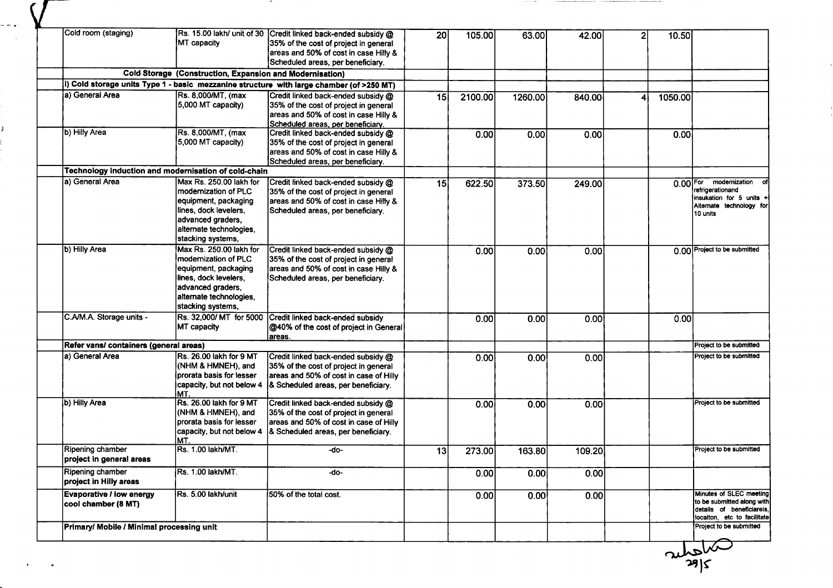| Cold room (staging)                                    | Rs. 15.00 lakh/ unit of 30                                                                                                                                             | Credit linked back-ended subsidy @                                                                                                                            | 20 | 105.00  | 63.00   | 42.00  | 10.50      |                                                                                                                   |
|--------------------------------------------------------|------------------------------------------------------------------------------------------------------------------------------------------------------------------------|---------------------------------------------------------------------------------------------------------------------------------------------------------------|----|---------|---------|--------|------------|-------------------------------------------------------------------------------------------------------------------|
|                                                        | MT capacity                                                                                                                                                            | 35% of the cost of project in general<br>areas and 50% of cost in case Hilly &<br>Scheduled areas, per beneficiary.                                           |    |         |         |        |            |                                                                                                                   |
|                                                        | Cold Storage (Construction, Expansion and Modernisation)                                                                                                               |                                                                                                                                                               |    |         |         |        |            |                                                                                                                   |
|                                                        |                                                                                                                                                                        | (i) Cold storage units Type 1 - basic mezzanine structure with large chamber (of >250 MT)                                                                     |    |         |         |        |            |                                                                                                                   |
| a) General Area                                        | Rs. 8,000/MT, (max<br>5,000 MT capacity)                                                                                                                               | Credit linked back-ended subsidy @<br>35% of the cost of project in general<br>areas and 50% of cost in case Hilly &<br>Scheduled areas, per beneficiary.     | 15 | 2100.00 | 1260.00 | 840.00 | 1050.00    |                                                                                                                   |
| b) Hilly Area                                          | Rs. 8,000/MT, (max<br>5,000 MT capacity)                                                                                                                               | Credit linked back-ended subsidy @<br>35% of the cost of project in general<br>areas and 50% of cost in case Hilly &<br>Scheduled areas, per beneficiary.     |    | 0.00    | 0.00    | 0.00   | 0.00       |                                                                                                                   |
|                                                        | Technology induction and modernisation of cold-chain                                                                                                                   |                                                                                                                                                               |    |         |         |        |            |                                                                                                                   |
| la) General Area                                       | Max Rs. 250.00 lakh for<br>Imodernization of PLC<br>equipment, packaging<br>lines, dock levelers,<br>advanced graders,<br>alternate technologies,<br>stacking systems, | Credit linked back-ended subsidy @<br>35% of the cost of project in general<br>areas and 50% of cost in case Hilly &<br>Scheduled areas, per beneficiary.     | 15 | 622.50  | 373.50  | 249.00 | $0.00$ For | modernization<br>refrigerationand<br>insukation for 5 units +<br>Alternate technology for<br>10 units             |
| b) Hilly Area                                          | Max Rs. 250.00 lakh for<br>modernization of PLC<br>equipment, packaging<br>lines, dock levelers,<br>advanced graders,<br>alternate technologies,<br>stacking systems,  | Credit linked back-ended subsidy @<br>35% of the cost of project in general<br>areas and 50% of cost in case Hilly &<br>Scheduled areas, per beneficiary.     |    | 0.00    | 0.00    | 0.00   |            | 0.00 Project to be submitted                                                                                      |
| C.A/M.A. Storage units -                               | Rs. 32,000/ MT for 5000<br>MT capacity                                                                                                                                 | Credit linked back-ended subsidy<br>@40% of the cost of project in General<br>areas.                                                                          |    | 0.00    | 0.00    | 0.00   | 0.00       |                                                                                                                   |
| Refer vans/ containers (general areas)                 |                                                                                                                                                                        |                                                                                                                                                               |    |         |         |        |            | Project to be submitted                                                                                           |
| a) General Area                                        | Rs. 26.00 lakh for 9 MT<br>(NHM & HMNEH), and<br>prorata basis for lesser<br>capacity, but not below 4<br>MT.                                                          | Credit linked back-ended subsidy @<br>35% of the cost of project in general<br>areas and 50% of cost in case of Hilly<br>8. Scheduled areas, per beneficiary. |    | 0.00    | 0.00    | 0.00   |            | Project to be submitted                                                                                           |
| b) Hilly Area                                          | Rs. 26.00 lakh for 9 MT<br>(NHM & HMNEH), and<br>prorata basis for lesser<br>capacity, but not below 4<br>MT.                                                          | Credit linked back-ended subsidy @<br>35% of the cost of project in general<br>areas and 50% of cost in case of Hilly<br>& Scheduled areas, per beneficiary.  |    | 0.00    | 0.00    | 0.00   |            | Project to be submitted                                                                                           |
| Ripening chamber<br>project in general areas           | Rs. 1.00 lakh/MT.                                                                                                                                                      | -do-                                                                                                                                                          | 13 | 273.00  | 163.80  | 109.20 |            | Project to be submitted                                                                                           |
| Ripening chamber<br>project in Hilly areas             | Rs. 1.00 lakh/MT.                                                                                                                                                      | -do-                                                                                                                                                          |    | 0.00    | 0.00    | 0.00   |            |                                                                                                                   |
| <b>Evaporative / low energy</b><br>cool chamber (8 MT) | Rs. 5.00 lakh/unit                                                                                                                                                     | 50% of the total cost.                                                                                                                                        |    | 0.00    | 0.00    | 0.00   |            | Minutes of SLEC meeting<br>to be submitted along with<br>details of beneficiareis,<br>locaiton, etc to facilitate |

,

i<br>Series

 $\overline{\mathcal{N}}$ ر<br>18ا<br>18

 $\bar{\bar{J}}$ 

 $\frac{1}{2}$